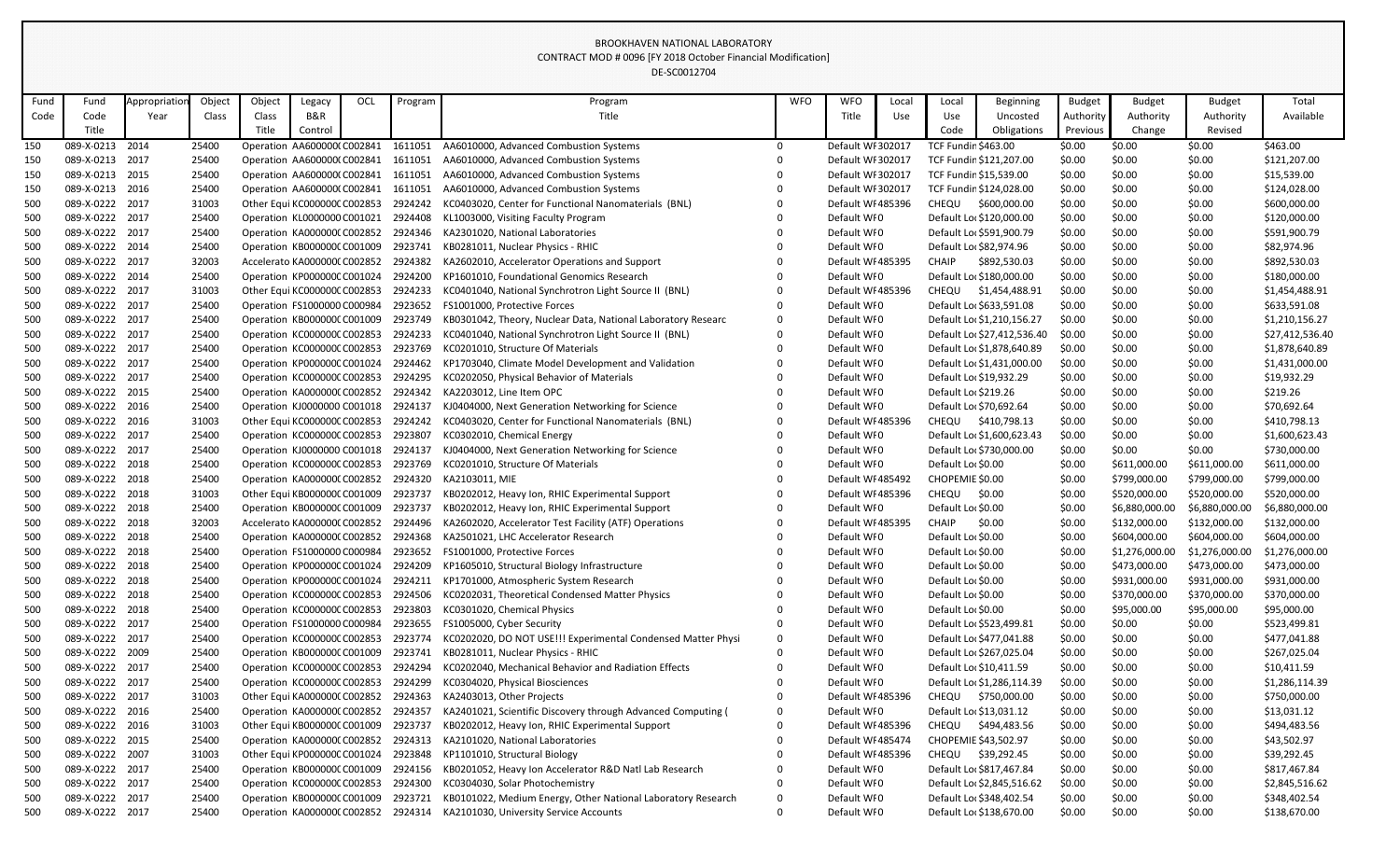|            |                                    |              |                |        |                                                             |     |                    | UL-JUUJIL/U4                                                                               |            |                                  |       |                            |                                            |                  |                  |                  |                             |
|------------|------------------------------------|--------------|----------------|--------|-------------------------------------------------------------|-----|--------------------|--------------------------------------------------------------------------------------------|------------|----------------------------------|-------|----------------------------|--------------------------------------------|------------------|------------------|------------------|-----------------------------|
| Fund       | Fund                               | Appropriatio | Object         | Object | Legacy                                                      | OCL | Program            | Program                                                                                    | <b>WFO</b> | <b>WFO</b>                       | Local | Local                      | <b>Beginning</b>                           | <b>Budget</b>    | <b>Budget</b>    | <b>Budget</b>    | Total                       |
| Code       | Code                               | Year         | Class          | Class  | B&R                                                         |     |                    | Title                                                                                      |            | Title                            | Use   | Use                        | Uncosted                                   | Authority        | Authority        | Authority        | Available                   |
|            | Title                              |              |                | Title  | Control                                                     |     |                    |                                                                                            |            |                                  |       | Code                       | Obligations                                | Previous         | Change           | Revised          |                             |
| 150        | 089-X-0213 2014                    |              | 25400          |        | Operation AA600000(C002841                                  |     | 1611051            | AA6010000, Advanced Combustion Systems                                                     | 0          | Default WI 302017                |       | <b>TCF Fundin \$463.00</b> |                                            | \$0.00           | \$0.00           | \$0.00           | \$463.00                    |
| 150        | 089-X-0213                         | 2017         | 25400          |        | Operation AA600000(C002841                                  |     | 1611051            | AA6010000, Advanced Combustion Systems                                                     |            | Default WI 302017                |       |                            | TCF Fundin \$121,207.00                    | \$0.00           | \$0.00           | \$0.00           | \$121,207.00                |
| 150        | 089-X-0213 2015                    |              | 25400          |        | Operation AA600000(C002841                                  |     | 1611051            | AA6010000, Advanced Combustion Systems                                                     |            | Default WI 302017                |       |                            | TCF Fundin \$15,539.00                     | \$0.00           | \$0.00           | \$0.00           | \$15,539.00                 |
| 150        | 089-X-0213 2016                    |              | 25400          |        | Operation AA600000(C002841                                  |     | 1611051            | AA6010000, Advanced Combustion Systems                                                     |            | Default WI 302017                |       |                            | TCF Fundin \$124,028.00                    | \$0.00           | \$0.00           | \$0.00           | \$124,028.00                |
| 500        | 089-X-0222 2017                    |              | 31003          |        | Other Equi KC000000C C002853                                |     | 2924242            | KC0403020, Center for Functional Nanomaterials (BNL)                                       |            | Default WI 485396                |       | <b>CHEQU</b>               | \$600,000.00                               | \$0.00           | \$0.00           | \$0.00           | \$600,000.00                |
| 500        | 089-X-0222 2017                    |              | 25400          |        | Operation KL0000000 C001021                                 |     | 2924408            | KL1003000, Visiting Faculty Program                                                        |            | Default WI0                      |       |                            | Default Lor \$120,000.00                   | \$0.00           | \$0.00           | \$0.00           | \$120,000.00                |
| 500        | 089-X-0222 2017                    |              | 25400          |        | Operation KA0000000 C002852                                 |     | 2924346            | KA2301020, National Laboratories                                                           |            | Default WI0                      |       |                            | Default Loc \$591,900.79                   | \$0.00           | \$0.00           | \$0.00           | \$591,900.79                |
| 500        | 089-X-0222 2014                    |              | 25400          |        | Operation KB000000CC001009                                  |     | 2923741            | KB0281011, Nuclear Physics - RHIC                                                          |            | Default WI0                      |       |                            | Default Loc \$82,974.96                    | \$0.00           | \$0.00           | \$0.00           | \$82,974.96                 |
| 500        | 089-X-0222 2017                    |              | 32003          |        | Accelerato KA000000(C002852                                 |     | 2924382            | KA2602010, Accelerator Operations and Support                                              |            | Default WI 485395                |       | CHAIP                      | \$892,530.03                               | \$0.00           | \$0.00           | \$0.00           | \$892,530.03                |
| 500        | 089-X-0222 2014                    |              | 25400          |        | Operation KP000000C C001024                                 |     | 2924200            | KP1601010, Foundational Genomics Research                                                  |            | Default WI0                      |       |                            | Default Lor \$180,000.00                   | \$0.00           | \$0.00           | \$0.00           | \$180,000.00                |
| 500        | 089-X-0222 2017                    |              | 31003          |        | Other Equi KC000000C C002853                                |     | 2924233            | KC0401040, National Synchrotron Light Source II (BNL)                                      |            | Default WI 485396                |       | <b>CHEQU</b>               | \$1,454,488.91                             | \$0.00           | \$0.00           | \$0.00           | \$1,454,488.91              |
| 500        | 089-X-0222 2017                    |              | 25400          |        | Operation FS1000000 C000984                                 |     | 2923652            | FS1001000, Protective Forces                                                               |            | Default WI0                      |       |                            | Default Loc \$633,591.08                   | \$0.00           | \$0.00           | \$0.00           | \$633,591.08                |
| 500        | 089-X-0222 2017                    |              | 25400          |        | Operation KB000000CC001009                                  |     | 2923749            | KB0301042, Theory, Nuclear Data, National Laboratory Researc                               | 0          | Default WI0                      |       |                            | Default Loc \$1,210,156.27                 | \$0.00           | \$0.00           | \$0.00           | \$1,210,156.27              |
| 500        | 089-X-0222 2017                    |              | 25400          |        | Operation KC000000C C002853                                 |     | 2924233            | KC0401040, National Synchrotron Light Source II (BNL)                                      |            | Default WI0                      |       |                            | Default Loc \$27,412,536.40                | \$0.00           | \$0.00           | \$0.00           | \$27,412,536.40             |
| 500        | 089-X-0222 2017                    |              | 25400          |        | Operation KC000000C C002853                                 |     | 2923769            | KC0201010, Structure Of Materials                                                          |            | Default WI0                      |       |                            | Default Loc \$1,878,640.89                 | \$0.00           | \$0.00           | \$0.00           | \$1,878,640.89              |
| 500        | 089-X-0222 2017                    |              | 25400          |        | Operation KP000000C C001024                                 |     | 2924462            | KP1703040, Climate Model Development and Validation                                        |            | Default WI0                      |       |                            | Default Loc \$1,431,000.00                 | \$0.00           | \$0.00           | \$0.00           | \$1,431,000.00              |
| 500        | 089-X-0222 2017                    |              | 25400          |        | Operation KC000000C C002853                                 |     | 2924295            | KC0202050, Physical Behavior of Materials                                                  |            | Default WI0                      |       |                            | Default Loc \$19,932.29                    | \$0.00           | \$0.00           | \$0.00           | \$19,932.29                 |
| 500        | 089-X-0222 2015                    |              | 25400          |        | Operation KA000000(C002852                                  |     | 2924342            | KA2203012, Line Item OPC                                                                   |            | Default WI0                      |       | Default Loc \$219.26       |                                            | \$0.00           | \$0.00           | \$0.00           | \$219.26                    |
| 500        | 089-X-0222 2016                    |              | 25400          |        | Operation KJ0000000 C001018                                 |     | 2924137            | KJ0404000, Next Generation Networking for Science                                          |            | Default WI0                      |       |                            | Default Loc \$70,692.64                    | \$0.00           | \$0.00           | \$0.00           | \$70,692.64                 |
| 500        | 089-X-0222 2016                    |              | 31003          |        | Other Equi KC000000C C002853                                |     | 2924242            | KC0403020, Center for Functional Nanomaterials (BNL)                                       |            | Default WI 485396                |       | CHEQU                      | \$410,798.13                               | \$0.00           | \$0.00           | \$0.00           | \$410,798.13                |
| 500        | 089-X-0222 2017                    |              | 25400          |        | Operation KC000000C C002853                                 |     | 2923807            | KC0302010, Chemical Energy                                                                 |            | Default WI0                      |       |                            | Default Lor \$1,600,623.43                 | \$0.00           | \$0.00           | \$0.00           | \$1,600,623.43              |
| 500        | 089-X-0222 2017                    |              | 25400          |        | Operation KJ0000000 C001018                                 |     | 2924137            | KJ0404000, Next Generation Networking for Science                                          |            | Default WI0                      |       |                            | Default Lor \$730,000.00                   | \$0.00           | \$0.00           | \$0.00           | \$730,000.00                |
| 500        | 089-X-0222 2018                    |              | 25400          |        | Operation KC000000CC002853                                  |     | 2923769            | KC0201010, Structure Of Materials                                                          |            | Default WI0                      |       | Default Loc \$0.00         |                                            | \$0.00           | \$611,000.00     | \$611,000.00     | \$611,000.00                |
| 500        | 089-X-0222 2018                    |              | 25400          |        | Operation KA0000000 C002852                                 |     | 2924320            | KA2103011, MIE                                                                             |            | Default WI 485492                |       | CHOPEMIE \$0.00            |                                            | \$0.00           | \$799,000.00     | \$799,000.00     | \$799,000.00                |
| 500        | 089-X-0222 2018                    |              | 31003          |        | Other Equi KB000000C C001009                                |     | 2923737            | KB0202012, Heavy Ion, RHIC Experimental Support                                            |            | Default WI 485396                |       | <b>CHEQU</b>               | \$0.00                                     | \$0.00           | \$520,000.00     | \$520,000.00     | \$520,000.00                |
| 500        | 089-X-0222 2018                    |              | 25400          |        | Operation KB000000CC001009                                  |     | 2923737            | KB0202012, Heavy Ion, RHIC Experimental Support                                            |            | Default WI0                      |       | Default Lor \$0.00         |                                            | \$0.00           | \$6,880,000.00   | \$6,880,000.00   | \$6,880,000.00              |
| 500        | 089-X-0222 2018                    |              | 32003          |        |                                                             |     |                    | Accelerato KA0000000 C002852 2924496 KA2602020, Accelerator Test Facility (ATF) Operations |            | Default WI 485395                |       | CHAIP                      | \$0.00                                     | \$0.00           | \$132,000.00     | \$132,000.00     | \$132,000.00                |
| 500        | 089-X-0222 2018                    |              | 25400          |        | Operation KA000000(C002852                                  |     | 2924368            | KA2501021, LHC Accelerator Research                                                        |            | Default WI0                      |       | Default Loc \$0.00         |                                            | \$0.00           | \$604,000.00     | \$604,000.00     | \$604,000.00                |
| 500        | 089-X-0222 2018                    |              | 25400          |        | Operation FS1000000 C000984                                 |     | 2923652            | FS1001000, Protective Forces                                                               |            | Default WI0                      |       | Default Lor \$0.00         |                                            | \$0.00           | \$1,276,000.00   | \$1,276,000.00   | \$1,276,000.00              |
| 500        | 089-X-0222 2018                    |              | 25400          |        | Operation KP000000C C001024                                 |     | 2924209            | KP1605010, Structural Biology Infrastructure                                               |            | Default WI0                      |       | Default Lor \$0.00         |                                            | \$0.00           | \$473,000.00     | \$473,000.00     | \$473,000.00                |
| 500        | 089-X-0222 2018                    |              | 25400          |        | Operation KP000000C C001024                                 |     | 2924211            | KP1701000, Atmospheric System Research                                                     |            | Default WI0                      |       | Default Loc \$0.00         |                                            | \$0.00           | \$931,000.00     | \$931,000.00     | \$931,000.00                |
| 500        | 089-X-0222 2018                    |              | 25400          |        | Operation KC000000CC002853                                  |     | 2924506            | KC0202031, Theoretical Condensed Matter Physics                                            |            | Default WI0                      |       | Default Lor \$0.00         |                                            | \$0.00           | \$370,000.00     | \$370,000.00     | \$370,000.00                |
| 500        | 089-X-0222 2018                    |              | 25400          |        | Operation KC000000CC002853                                  |     | 2923803            | KC0301020, Chemical Physics                                                                |            | Default WI0                      |       | Default Lor \$0.00         |                                            | \$0.00           | \$95,000.00      | \$95,000.00      | \$95,000.00                 |
| 500        | 089-X-0222 2017                    |              | 25400          |        | Operation FS1000000 C000984                                 |     | 2923655            | FS1005000, Cyber Security                                                                  |            | Default WI0                      |       |                            | Default Loc \$523,499.81                   | \$0.00           | \$0.00           | \$0.00           | \$523,499.81                |
| 500        | 089-X-0222 2017<br>089-X-0222 2009 |              | 25400          |        | Operation KC000000CC002853                                  |     | 2923774<br>2923741 | KC0202020, DO NOT USE!!! Experimental Condensed Matter Physi                               | 0          | Default WI0<br>Default WI0       |       |                            | Default Loc \$477,041.88                   | \$0.00           | \$0.00           | \$0.00           | \$477,041.88                |
| 500        |                                    |              | 25400          |        | Operation KB000000CC001009                                  |     | 2924294            | KB0281011, Nuclear Physics - RHIC                                                          |            |                                  |       |                            | Default Loc \$267,025.04                   | \$0.00           | \$0.00           | \$0.00           | \$267,025.04                |
| 500        | 089-X-0222 2017<br>089-X-0222 2017 |              | 25400          |        | Operation KC000000CC002853                                  |     |                    | KC0202040, Mechanical Behavior and Radiation Effects                                       |            | Default WI0<br>Default WI0       |       |                            | Default Loc \$10,411.59                    | \$0.00           | \$0.00           | \$0.00           | \$10,411.59                 |
| 500        | 089-X-0222 2017                    |              | 25400          |        | Operation KC000000CC002853                                  |     | 2924299<br>2924363 | KC0304020, Physical Biosciences<br>KA2403013, Other Projects                               |            | Default WI 485396                |       |                            | Default Loc \$1,286,114.39<br>\$750,000.00 | \$0.00           | \$0.00           | \$0.00           | \$1,286,114.39              |
| 500        |                                    |              | 31003          |        | Other Equi KA000000(C002852                                 |     |                    |                                                                                            |            |                                  |       | CHEQU                      |                                            | \$0.00           | \$0.00           | \$0.00           | \$750,000.00                |
| 500        | 089-X-0222 2016<br>089-X-0222 2016 |              | 25400<br>31003 |        | Operation KA0000000 C002852<br>Other Equi KB000000C C001009 |     | 2924357<br>2923737 | KA2401021, Scientific Discovery through Advanced Computing (                               | 0          | Default WI0<br>Default WI 485396 |       |                            | Default Loc \$13,031.12                    | \$0.00           | \$0.00           | \$0.00           | \$13,031.12<br>\$494,483.56 |
| 500<br>500 | 089-X-0222 2015                    |              | 25400          |        | Operation KA0000000 C002852                                 |     | 2924313            | KB0202012, Heavy Ion, RHIC Experimental Support<br>KA2101020, National Laboratories        | 0          | Default WI 485474                |       | <b>CHEQU</b>               | \$494,483.56<br>CHOPEMIE \$43,502.97       | \$0.00<br>\$0.00 | \$0.00<br>\$0.00 | \$0.00<br>\$0.00 | \$43,502.97                 |
| 500        | 089-X-0222 2007                    |              | 31003          |        | Other Equi KP000000C C001024                                |     | 2923848            | KP1101010, Structural Biology                                                              |            | Default WI 485396                |       | <b>CHEQU</b>               | \$39,292.45                                | \$0.00           | \$0.00           | \$0.00           | \$39,292.45                 |
| 500        | 089-X-0222 2017                    |              | 25400          |        | Operation KB000000CC001009                                  |     | 2924156            | KB0201052, Heavy Ion Accelerator R&D Natl Lab Research                                     |            | Default WI0                      |       |                            | Default Loc \$817,467.84                   | \$0.00           | \$0.00           | \$0.00           | \$817,467.84                |
| 500        | 089-X-0222 2017                    |              | 25400          |        | Operation KC000000CC002853                                  |     | 2924300            | KC0304030, Solar Photochemistry                                                            |            | Default WI0                      |       |                            | Default Loc \$2,845,516.62                 | \$0.00           | \$0.00           | \$0.00           | \$2,845,516.62              |
| 500        | 089-X-0222 2017                    |              | 25400          |        | Operation KB000000C C001009                                 |     | 2923721            | KB0101022, Medium Energy, Other National Laboratory Research                               | 0          | Default WI0                      |       |                            | Default Loc \$348,402.54                   | \$0.00           | \$0.00           | \$0.00           | \$348,402.54                |
| 500        | 089-X-0222 2017                    |              | 25400          |        | Operation KA0000000 C002852                                 |     | 2924314            | KA2101030, University Service Accounts                                                     | 0          | Default WI0                      |       |                            | Default Loc \$138,670.00                   | \$0.00           | \$0.00           | \$0.00           | \$138,670.00                |
|            |                                    |              |                |        |                                                             |     |                    |                                                                                            |            |                                  |       |                            |                                            |                  |                  |                  |                             |

## BROOKHAVEN NATIONAL LABORATORY CONTRACT MOD # 0096 [FY 2018 October Financial Modification] DE-SC0012704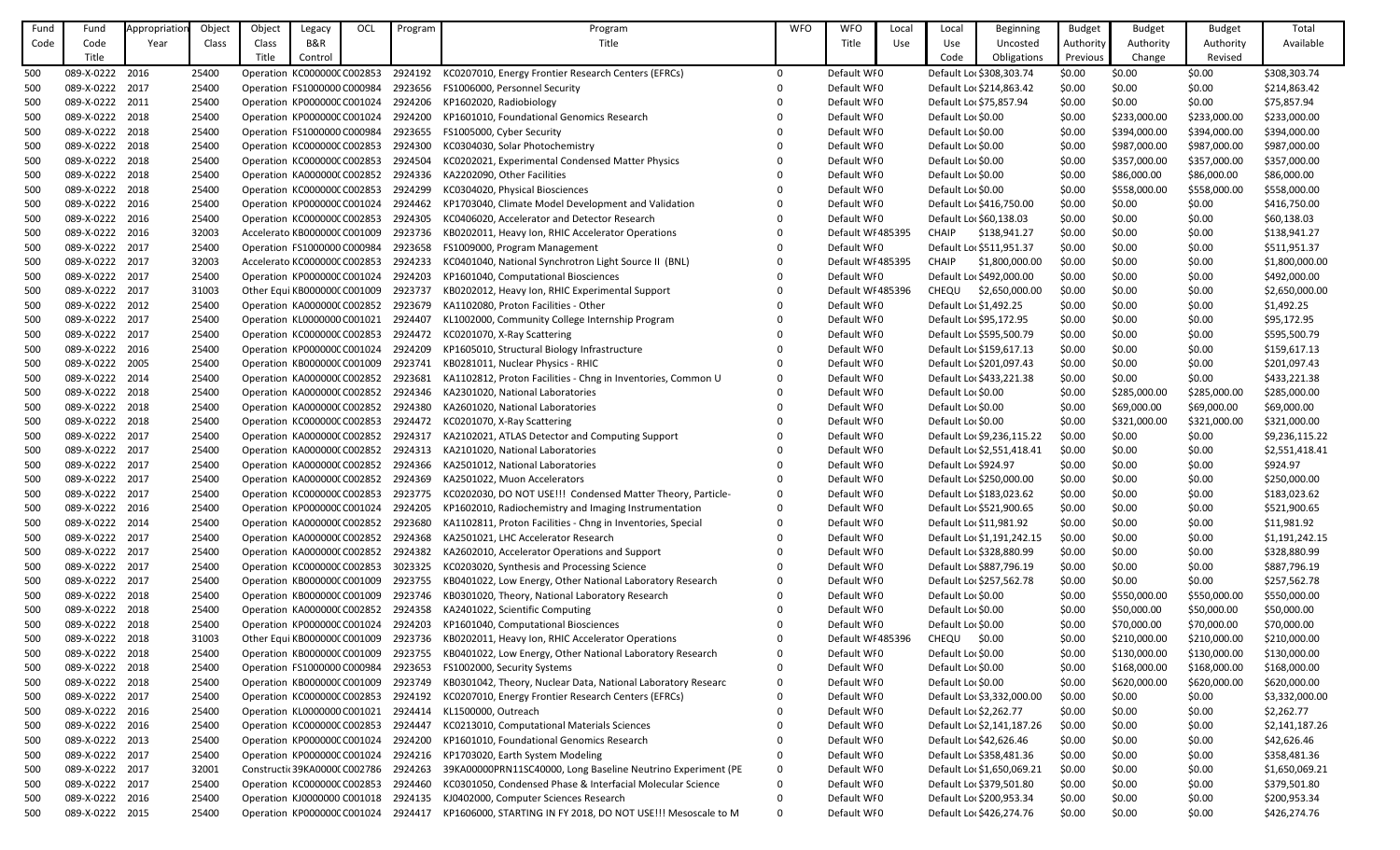| Fund | Fund                               | Appropriatior | Object | Object | Legacy                        | OCL | Program | Program                                                      | <b>WFO</b> | <b>WFO</b>        | Local | Local                   | Beginning                  | <b>Budget</b> | <b>Budget</b> | <b>Budget</b> | Total          |
|------|------------------------------------|---------------|--------|--------|-------------------------------|-----|---------|--------------------------------------------------------------|------------|-------------------|-------|-------------------------|----------------------------|---------------|---------------|---------------|----------------|
| Code | Code                               | Year          | Class  | Class  | B&R                           |     |         | Title                                                        |            | Title             | Use   | Use                     | Uncosted                   | Authority     | Authority     | Authority     | Available      |
|      | Title                              |               |        | Title  | Control                       |     |         |                                                              |            |                   |       | Code                    | Obligations                | Previous      | Change        | Revised       |                |
| 500  | 089-X-0222 2016                    |               | 25400  |        | Operation KC000000C C002853   |     | 2924192 | KC0207010, Energy Frontier Research Centers (EFRCs)          | $\Omega$   | Default WI0       |       |                         | Default Lo: \$308,303.74   | \$0.00        | \$0.00        | \$0.00        | \$308,303.74   |
| 500  | 089-X-0222 2017                    |               | 25400  |        | Operation FS1000000 C000984   |     | 2923656 | FS1006000, Personnel Security                                |            | Default WI0       |       |                         | Default Loc \$214,863.42   | \$0.00        | \$0.00        | \$0.00        | \$214,863.42   |
| 500  | 089-X-0222 2011                    |               | 25400  |        | Operation KP000000C C001024   |     | 2924206 | KP1602020, Radiobiology                                      |            | Default WI0       |       | Default Loc \$75,857.94 |                            | \$0.00        | \$0.00        | \$0.00        | \$75,857.94    |
| 500  | 089-X-0222 2018                    |               | 25400  |        | Operation KP000000C C001024   |     | 2924200 | KP1601010, Foundational Genomics Research                    |            | Default WI0       |       | Default Lor \$0.00      |                            | \$0.00        | \$233,000.00  | \$233,000.00  | \$233,000.00   |
| 500  | 089-X-0222 2018                    |               | 25400  |        | Operation FS1000000 C000984   |     | 2923655 | FS1005000, Cyber Security                                    |            | Default WI0       |       | Default Lor \$0.00      |                            | \$0.00        | \$394,000.00  | \$394,000.00  | \$394,000.00   |
| 500  | 089-X-0222 2018                    |               | 25400  |        | Operation KC000000C C002853   |     | 2924300 | KC0304030, Solar Photochemistry                              |            | Default WI0       |       | Default Lor \$0.00      |                            | \$0.00        | \$987,000.00  | \$987,000.00  | \$987,000.00   |
| 500  | 089-X-0222 2018                    |               | 25400  |        | Operation KC000000CC002853    |     | 2924504 | KC0202021, Experimental Condensed Matter Physics             |            | Default WI0       |       | Default Lor \$0.00      |                            | \$0.00        | \$357,000.00  | \$357,000.00  | \$357,000.00   |
| 500  | 089-X-0222 2018                    |               | 25400  |        | Operation KA0000000 C002852   |     | 2924336 | KA2202090, Other Facilities                                  |            | Default WI0       |       | Default Lor \$0.00      |                            | \$0.00        | \$86,000.00   | \$86,000.00   | \$86,000.00    |
| 500  | 089-X-0222 2018                    |               | 25400  |        | Operation KC000000C C002853   |     | 2924299 | KC0304020, Physical Biosciences                              |            | Default WI0       |       | Default Lor \$0.00      |                            | \$0.00        | \$558,000.00  | \$558,000.00  | \$558,000.00   |
| 500  | 089-X-0222 2016                    |               | 25400  |        | Operation KP000000C C001024   |     | 2924462 | KP1703040, Climate Model Development and Validation          |            | Default WI0       |       |                         | Default Loc \$416,750.00   | \$0.00        | \$0.00        | \$0.00        | \$416,750.00   |
| 500  | 089-X-0222 2016                    |               | 25400  |        | Operation KC000000C C002853   |     | 2924305 | KC0406020, Accelerator and Detector Research                 |            | Default WI0       |       |                         | Default Lor \$60,138.03    | \$0.00        | \$0.00        | \$0.00        | \$60,138.03    |
| 500  | 089-X-0222 2016                    |               | 32003  |        | Accelerato KB000000C C001009  |     | 2923736 | KB0202011, Heavy Ion, RHIC Accelerator Operations            |            | Default WI 485395 |       | <b>CHAIP</b>            | \$138,941.27               | \$0.00        | \$0.00        | \$0.00        | \$138,941.27   |
| 500  | 089-X-0222 2017                    |               | 25400  |        | Operation FS1000000 C000984   |     | 2923658 | FS1009000, Program Management                                |            | Default WI0       |       |                         | Default Loc \$511,951.37   | \$0.00        | \$0.00        | \$0.00        | \$511,951.37   |
| 500  | 089-X-0222 2017                    |               | 32003  |        | Accelerato KC000000C C002853  |     | 2924233 | KC0401040, National Synchrotron Light Source II (BNL)        |            | Default WI 485395 |       | <b>CHAIP</b>            | \$1,800,000.00             | \$0.00        | \$0.00        | \$0.00        | \$1,800,000.00 |
| 500  | 089-X-0222 2017                    |               | 25400  |        | Operation KP000000C C001024   |     | 2924203 | KP1601040, Computational Biosciences                         |            | Default WI0       |       |                         | Default Lor \$492,000.00   | \$0.00        | \$0.00        | \$0.00        | \$492,000.00   |
| 500  | 089-X-0222 2017                    |               | 31003  |        | Other Equi KB000000C C001009  |     | 2923737 | KB0202012, Heavy Ion, RHIC Experimental Support              |            | Default WI 485396 |       | <b>CHEQU</b>            | \$2,650,000.00             | \$0.00        | \$0.00        | \$0.00        | \$2,650,000.00 |
| 500  | 089-X-0222 2012                    |               | 25400  |        | Operation KA000000(C002852    |     | 2923679 | KA1102080, Proton Facilities - Other                         |            | Default WI0       |       | Default Lor \$1,492.25  |                            | \$0.00        | \$0.00        | \$0.00        | \$1,492.25     |
| 500  | 089-X-0222 2017                    |               | 25400  |        | Operation KL0000000 C001021   |     | 2924407 | KL1002000, Community College Internship Program              |            | Default WI0       |       |                         | Default Loc \$95,172.95    | \$0.00        | \$0.00        | \$0.00        | \$95,172.95    |
| 500  | 089-X-0222 2017                    |               | 25400  |        | Operation KC000000C C002853   |     | 2924472 | KC0201070, X-Ray Scattering                                  |            | Default WI0       |       |                         | Default Loc \$595,500.79   | \$0.00        | \$0.00        | \$0.00        | \$595,500.79   |
| 500  | 089-X-0222 2016                    |               | 25400  |        | Operation KP000000C C001024   |     | 2924209 | KP1605010, Structural Biology Infrastructure                 |            | Default WI0       |       |                         | Default Loc \$159,617.13   | \$0.00        | \$0.00        | \$0.00        | \$159,617.13   |
| 500  | 089-X-0222 2005                    |               | 25400  |        | Operation KB000000C C001009   |     | 2923741 | KB0281011, Nuclear Physics - RHIC                            |            | Default WI0       |       |                         | Default Loc \$201,097.43   | \$0.00        | \$0.00        | \$0.00        | \$201,097.43   |
| 500  | 089-X-0222 2014                    |               | 25400  |        | Operation KA0000000 C002852   |     | 2923681 | KA1102812, Proton Facilities - Chng in Inventories, Common U |            | Default WI0       |       |                         | Default Loc \$433,221.38   | \$0.00        | \$0.00        | \$0.00        | \$433,221.38   |
| 500  | 089-X-0222 2018                    |               | 25400  |        | Operation KA0000000 C002852   |     | 2924346 | KA2301020, National Laboratories                             |            | Default WI0       |       | Default Lor \$0.00      |                            | \$0.00        | \$285,000.00  | \$285,000.00  | \$285,000.00   |
| 500  | 089-X-0222 2018                    |               | 25400  |        | Operation KA0000000 C002852   |     | 2924380 | KA2601020, National Laboratories                             |            | Default WIO       |       | Default Lor \$0.00      |                            | \$0.00        | \$69,000.00   | \$69,000.00   | \$69,000.00    |
| 500  | 089-X-0222 2018                    |               | 25400  |        | Operation KC000000CC002853    |     | 2924472 | KC0201070, X-Ray Scattering                                  |            | Default WI0       |       | Default Lor \$0.00      |                            | \$0.00        | \$321,000.00  | \$321,000.00  | \$321,000.00   |
| 500  | 089-X-0222 2017                    |               | 25400  |        | Operation KA0000000 C002852   |     | 2924317 | KA2102021, ATLAS Detector and Computing Support              |            | Default WI0       |       |                         | Default Loc \$9,236,115.22 | \$0.00        | \$0.00        | \$0.00        | \$9,236,115.22 |
| 500  | 089-X-0222 2017                    |               | 25400  |        | Operation KA0000000 C002852   |     | 2924313 | KA2101020, National Laboratories                             |            | Default WI0       |       |                         | Default Loc \$2,551,418.41 | \$0.00        | \$0.00        | \$0.00        | \$2,551,418.41 |
| 500  | 089-X-0222 2017                    |               | 25400  |        | Operation KA000000(C002852    |     | 2924366 | KA2501012, National Laboratories                             |            | Default WI0       |       | Default Loc \$924.97    |                            | \$0.00        | \$0.00        | \$0.00        | \$924.97       |
| 500  | 089-X-0222 2017                    |               | 25400  |        | Operation KA0000000 C002852   |     | 2924369 | KA2501022, Muon Accelerators                                 |            | Default WI0       |       |                         | Default Lor \$250,000.00   | \$0.00        | \$0.00        | \$0.00        | \$250,000.00   |
| 500  | 089-X-0222 2017                    |               | 25400  |        | Operation KC000000C C002853   |     | 2923775 | KC0202030, DO NOT USE!!! Condensed Matter Theory, Particle-  |            | Default WI0       |       |                         | Default Loc \$183,023.62   | \$0.00        | \$0.00        | \$0.00        | \$183,023.62   |
| 500  | 089-X-0222 2016                    |               | 25400  |        | Operation KP000000C C001024   |     | 2924205 | KP1602010, Radiochemistry and Imaging Instrumentation        |            | Default WI0       |       |                         | Default Loc \$521,900.65   | \$0.00        | \$0.00        | \$0.00        | \$521,900.65   |
| 500  | 089-X-0222 2014                    |               | 25400  |        | Operation KA0000000 C002852   |     | 2923680 | KA1102811, Proton Facilities - Chng in Inventories, Special  |            | Default WI0       |       |                         | Default Loc \$11,981.92    | \$0.00        | \$0.00        | \$0.00        | \$11,981.92    |
| 500  | 089-X-0222 2017                    |               | 25400  |        | Operation KA0000000 C002852   |     | 2924368 | KA2501021, LHC Accelerator Research                          |            | Default WI0       |       |                         | Default Loc \$1,191,242.15 | \$0.00        | \$0.00        | \$0.00        | \$1,191,242.15 |
| 500  | 089-X-0222 2017                    |               | 25400  |        | Operation KA0000000 C002852   |     | 2924382 | KA2602010, Accelerator Operations and Support                |            | Default WI0       |       |                         | Default Loc \$328,880.99   | \$0.00        | \$0.00        | \$0.00        | \$328,880.99   |
| 500  | 089-X-0222 2017                    |               | 25400  |        | Operation KC000000C C002853   |     | 3023325 | KC0203020, Synthesis and Processing Science                  |            | Default WI0       |       |                         | Default Loc \$887,796.19   | \$0.00        | \$0.00        | \$0.00        | \$887,796.19   |
| 500  | 089-X-0222 2017                    |               | 25400  |        | Operation KB000000C C001009   |     | 2923755 | KB0401022, Low Energy, Other National Laboratory Research    |            | Default WI0       |       |                         | Default Loc \$257,562.78   | \$0.00        | \$0.00        | \$0.00        | \$257,562.78   |
| 500  | 089-X-0222 2018                    |               | 25400  |        | Operation KB000000C C001009   |     | 2923746 | KB0301020, Theory, National Laboratory Research              |            | Default WI0       |       | Default Lor \$0.00      |                            | \$0.00        | \$550,000.00  | \$550,000.00  | \$550,000.00   |
| 500  | 089-X-0222 2018                    |               | 25400  |        | Operation KA0000000 C002852   |     | 2924358 | KA2401022, Scientific Computing                              |            | Default WI0       |       | Default Lor \$0.00      |                            | \$0.00        | \$50,000.00   | \$50,000.00   | \$50,000.00    |
| 500  | 089-X-0222 2018                    |               | 25400  |        | Operation KP000000C C001024   |     | 2924203 | KP1601040, Computational Biosciences                         |            | Default WI0       |       | Default Lor \$0.00      |                            | \$0.00        | \$70,000.00   | \$70,000.00   | \$70,000.00    |
| 500  | 089-X-0222 2018                    |               | 31003  |        | Other Equi KB000000C C001009  |     | 2923736 | KB0202011, Heavy Ion, RHIC Accelerator Operations            |            | Default WI 485396 |       | <b>CHEQU</b>            | \$0.00                     | \$0.00        | \$210,000.00  | \$210,000.00  | \$210,000.00   |
| 500  | 089-X-0222 2018                    |               | 25400  |        | Operation KB000000C C001009   |     | 2923755 | KB0401022, Low Energy, Other National Laboratory Research    |            | Default WI0       |       | Default Lor \$0.00      |                            | \$0.00        | \$130,000.00  | \$130,000.00  | \$130,000.00   |
| 500  | 089-X-0222 2018                    |               | 25400  |        | Operation FS1000000 C000984   |     | 2923653 | FS1002000, Security Systems                                  |            | Default WI0       |       | Default Lor \$0.00      |                            | \$0.00        | \$168,000.00  | \$168,000.00  | \$168,000.00   |
| 500  | 089-X-0222 2018                    |               | 25400  |        | Operation KB000000C C001009   |     | 2923749 | KB0301042, Theory, Nuclear Data, National Laboratory Researc |            | Default WI0       |       | Default Lor \$0.00      |                            | \$0.00        | \$620,000.00  | \$620,000.00  | \$620,000.00   |
| 500  | 089-X-0222 2017                    |               | 25400  |        | Operation KC000000C C002853   |     | 2924192 | KC0207010, Energy Frontier Research Centers (EFRCs)          |            | Default WI0       |       |                         | Default Loc \$3,332,000.00 | \$0.00        | \$0.00        | \$0.00        | \$3,332,000.00 |
| 500  | 089-X-0222 2016                    |               | 25400  |        | Operation KL0000000 C001021   |     | 2924414 | KL1500000, Outreach                                          |            | Default WI0       |       | Default Loc \$2,262.77  |                            | \$0.00        | \$0.00        | \$0.00        | \$2,262.77     |
| 500  | 089-X-0222 2016                    |               | 25400  |        | Operation KC000000CC002853    |     | 2924447 | KC0213010, Computational Materials Sciences                  |            | Default WI0       |       |                         | Default Loc \$2,141,187.26 | \$0.00        | \$0.00        | \$0.00        | \$2,141,187.26 |
| 500  | 089-X-0222 2013                    |               | 25400  |        | Operation KP000000C C001024   |     | 2924200 | KP1601010, Foundational Genomics Research                    |            | Default WI0       |       |                         | Default Loc \$42,626.46    | \$0.00        | \$0.00        | \$0.00        | \$42,626.46    |
| 500  | 089-X-0222 2017                    |               | 25400  |        | Operation KP000000C C001024   |     | 2924216 | KP1703020, Earth System Modeling                             |            | Default WI0       |       |                         | Default Loc \$358,481.36   | \$0.00        | \$0.00        | \$0.00        | \$358,481.36   |
| 500  | 089-X-0222 2017                    |               | 32001  |        | Constructic 39KA0000C C002786 |     | 2924263 | 39KA00000PRN11SC40000, Long Baseline Neutrino Experiment (PE |            | Default WI0       |       |                         | Default Lor \$1,650,069.21 | \$0.00        | \$0.00        | \$0.00        | \$1,650,069.21 |
| 500  | 089-X-0222 2017<br>089-X-0222 2016 |               | 25400  |        | Operation KC000000CC002853    |     | 2924460 | KC0301050, Condensed Phase & Interfacial Molecular Science   |            | Default WI0       |       |                         | Default Loc \$379,501.80   | \$0.00        | \$0.00        | \$0.00        | \$379,501.80   |
| 500  |                                    |               | 25400  |        | Operation KJ0000000 C001018   |     | 2924135 | KJ0402000, Computer Sciences Research                        |            | Default WI0       |       |                         | Default Loc \$200,953.34   | \$0.00        | \$0.00        | \$0.00        | \$200,953.34   |
| 500  | 089-X-0222 2015                    |               | 25400  |        | Operation KP000000C C001024   |     | 2924417 | KP1606000, STARTING IN FY 2018, DO NOT USE!!! Mesoscale to M |            | Default WI0       |       |                         | Default Loc \$426,274.76   | \$0.00        | \$0.00        | \$0.00        | \$426,274.76   |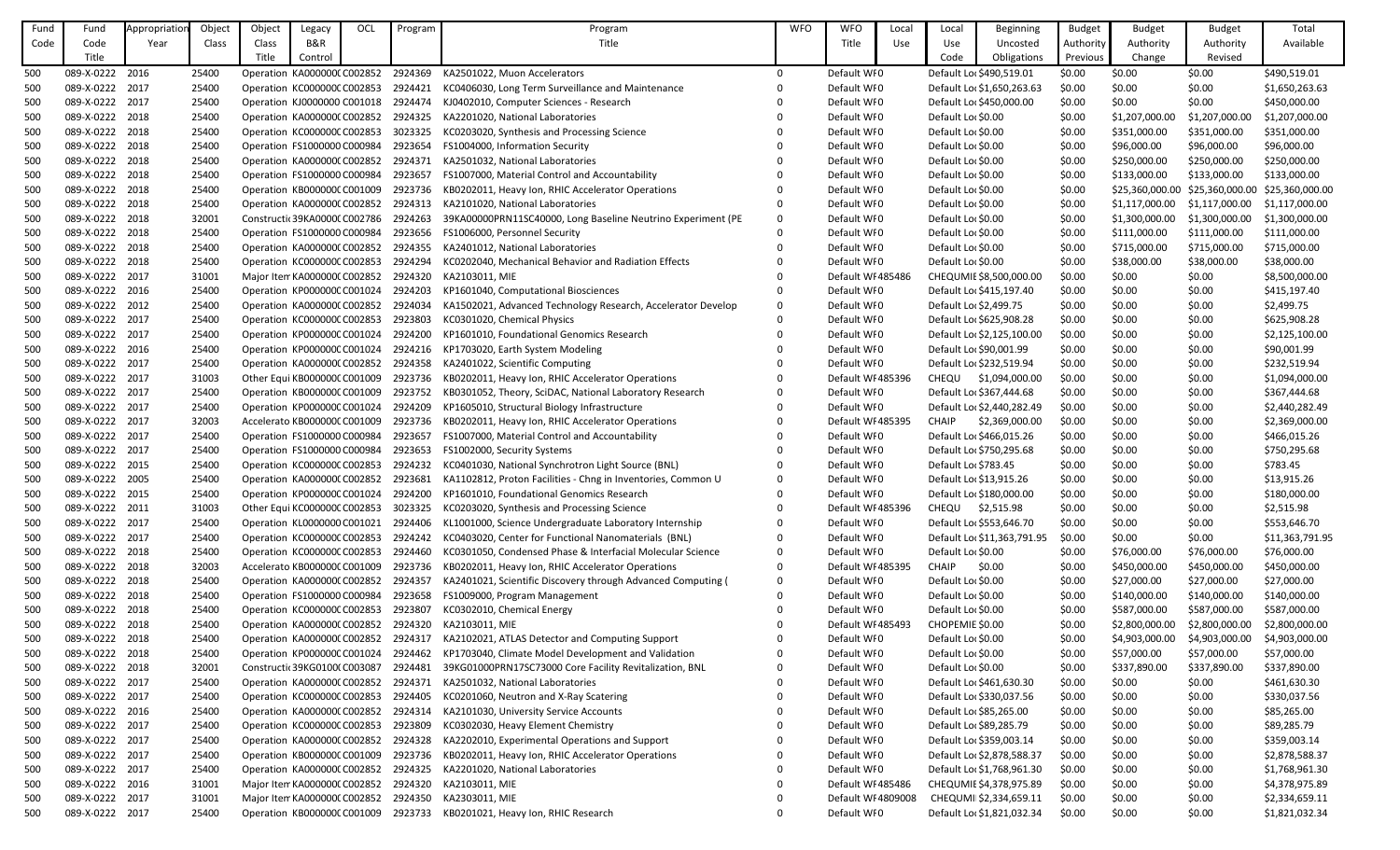| Fund | Fund            | Appropriation | Object | Object | Legacy                        | OCI | Program | Program                                                      | <b>WFO</b> | <b>WFO</b>         | Local | Local                   | Beginning                   | <b>Budget</b> | <b>Budget</b>   | <b>Budget</b>   | Total           |
|------|-----------------|---------------|--------|--------|-------------------------------|-----|---------|--------------------------------------------------------------|------------|--------------------|-------|-------------------------|-----------------------------|---------------|-----------------|-----------------|-----------------|
| Code | Code            | Year          | Class  | Class  | B&R                           |     |         | Title                                                        |            | Title              | Use   | Use                     | Uncosted                    | Authority     | Authority       | Authority       | Available       |
|      | Title           |               |        | Title  | Control                       |     |         |                                                              |            |                    |       | Code                    | Obligations                 | Previous      | Change          | Revised         |                 |
| 500  | 089-X-0222 2016 |               | 25400  |        | Operation KA000000(C002852    |     | 2924369 | KA2501022, Muon Accelerators                                 | $\Omega$   | Default WI0        |       |                         | Default Lor \$490,519.01    | \$0.00        | \$0.00          | \$0.00          | \$490,519.01    |
| 500  | 089-X-0222 2017 |               | 25400  |        | Operation KC000000CC002853    |     | 2924421 | KC0406030, Long Term Surveillance and Maintenance            |            | Default WI0        |       |                         | Default Loc \$1,650,263.63  | \$0.00        | \$0.00          | \$0.00          | \$1,650,263.63  |
| 500  | 089-X-0222 2017 |               | 25400  |        | Operation KJ0000000 C001018   |     | 2924474 | KJ0402010, Computer Sciences - Research                      |            | Default WI0        |       |                         | Default Lor \$450,000.00    | \$0.00        | \$0.00          | \$0.00          | \$450,000.00    |
| 500  | 089-X-0222 2018 |               | 25400  |        | Operation KA0000000 C002852   |     | 2924325 | KA2201020, National Laboratories                             |            | Default WI0        |       | Default Lor \$0.00      |                             | \$0.00        | \$1,207,000.00  | \$1,207,000.00  | \$1,207,000.00  |
| 500  | 089-X-0222 2018 |               | 25400  |        | Operation KC000000C C002853   |     | 3023325 | KC0203020, Synthesis and Processing Science                  |            | Default WI0        |       | Default Lor \$0.00      |                             | \$0.00        | \$351,000.00    | \$351,000.00    | \$351,000.00    |
| 500  | 089-X-0222 2018 |               | 25400  |        | Operation FS1000000 C000984   |     | 2923654 | FS1004000, Information Security                              |            | Default WI0        |       | Default Lor \$0.00      |                             | \$0.00        | \$96,000.00     | \$96,000.00     | \$96,000.00     |
| 500  | 089-X-0222 2018 |               | 25400  |        | Operation KA0000000 C002852   |     | 2924371 | KA2501032, National Laboratories                             |            | Default WI0        |       | Default Lor \$0.00      |                             | \$0.00        | \$250,000.00    | \$250,000.00    | \$250,000.00    |
| 500  | 089-X-0222 2018 |               | 25400  |        | Operation FS1000000 C000984   |     | 2923657 | FS1007000, Material Control and Accountability               |            | Default WI0        |       | Default Loc \$0.00      |                             | \$0.00        | \$133,000.00    | \$133,000.00    | \$133,000.00    |
| 500  | 089-X-0222 2018 |               | 25400  |        | Operation KB000000C C001009   |     | 2923736 | KB0202011, Heavy Ion, RHIC Accelerator Operations            |            | Default WI0        |       | Default Loc \$0.00      |                             | \$0.00        | \$25,360,000.00 | \$25,360,000.00 | \$25,360,000.00 |
| 500  | 089-X-0222 2018 |               | 25400  |        | Operation KA0000000 C002852   |     | 2924313 | KA2101020, National Laboratories                             |            | Default WI0        |       | Default Loc \$0.00      |                             | \$0.00        | \$1,117,000.00  | \$1,117,000.00  | \$1,117,000.00  |
| 500  | 089-X-0222 2018 |               | 32001  |        | Constructic 39KA00000 C002786 |     | 2924263 | 39KA00000PRN11SC40000, Long Baseline Neutrino Experiment (PE |            | Default WI0        |       | Default Loc \$0.00      |                             | \$0.00        | \$1,300,000.00  | \$1,300,000.00  | \$1,300,000.00  |
| 500  | 089-X-0222 2018 |               | 25400  |        | Operation FS1000000 C000984   |     | 2923656 | FS1006000, Personnel Security                                |            | Default WI0        |       | Default Lor \$0.00      |                             | \$0.00        | \$111,000.00    | \$111,000.00    | \$111,000.00    |
| 500  | 089-X-0222 2018 |               | 25400  |        | Operation KA0000000 C002852   |     | 2924355 | KA2401012, National Laboratories                             |            | Default WI0        |       | Default Lor \$0.00      |                             | \$0.00        | \$715,000.00    | \$715,000.00    | \$715,000.00    |
| 500  | 089-X-0222 2018 |               | 25400  |        | Operation KC000000C C002853   |     | 2924294 | KC0202040, Mechanical Behavior and Radiation Effects         |            | Default WI0        |       | Default Lor \$0.00      |                             | \$0.00        | \$38,000.00     | \$38,000.00     | \$38,000.00     |
| 500  | 089-X-0222 2017 |               | 31001  |        | Major Item KA0000000 C002852  |     | 2924320 | KA2103011, MIE                                               |            | Default WI 485486  |       |                         | CHEQUMIE \$8,500,000.00     | \$0.00        | \$0.00          | \$0.00          | \$8,500,000.00  |
| 500  | 089-X-0222 2016 |               | 25400  |        | Operation KP000000C C001024   |     | 2924203 | KP1601040, Computational Biosciences                         |            | Default WI0        |       |                         | Default Loc \$415,197.40    | \$0.00        | \$0.00          | \$0.00          | \$415,197.40    |
| 500  | 089-X-0222 2012 |               | 25400  |        | Operation KA000000CC002852    |     | 2924034 | KA1502021, Advanced Technology Research, Accelerator Develop | 0          | Default WI0        |       | Default Loc \$2,499.75  |                             | \$0.00        | \$0.00          | \$0.00          | \$2,499.75      |
| 500  | 089-X-0222 2017 |               | 25400  |        | Operation KC000000C C002853   |     | 2923803 | KC0301020, Chemical Physics                                  |            | Default WI0        |       |                         | Default Loc \$625,908.28    | \$0.00        | \$0.00          | \$0.00          | \$625,908.28    |
| 500  | 089-X-0222 2017 |               | 25400  |        | Operation KP000000C C001024   |     | 2924200 | KP1601010, Foundational Genomics Research                    |            | Default WI0        |       |                         | Default Loc \$2,125,100.00  | \$0.00        | \$0.00          | \$0.00          | \$2,125,100.00  |
| 500  | 089-X-0222 2016 |               | 25400  |        | Operation KP000000C C001024   |     | 2924216 | KP1703020, Earth System Modeling                             |            | Default WI0        |       | Default Lor \$90,001.99 |                             | \$0.00        | \$0.00          | \$0.00          | \$90,001.99     |
| 500  | 089-X-0222 2017 |               | 25400  |        | Operation KA0000000 C002852   |     | 2924358 | KA2401022, Scientific Computing                              |            | Default WI0        |       |                         | Default Loc \$232,519.94    | \$0.00        | \$0.00          | \$0.00          | \$232,519.94    |
| 500  | 089-X-0222 2017 |               | 31003  |        | Other Equi KB000000C C001009  |     | 2923736 | KB0202011, Heavy Ion, RHIC Accelerator Operations            |            | Default WI 485396  |       | <b>CHEQU</b>            | \$1,094,000.00              | \$0.00        | \$0.00          | \$0.00          | \$1,094,000.00  |
| 500  | 089-X-0222 2017 |               | 25400  |        | Operation KB000000C C001009   |     | 2923752 | KB0301052, Theory, SciDAC, National Laboratory Research      |            | Default WI0        |       |                         | Default Loc \$367,444.68    | \$0.00        | \$0.00          | \$0.00          | \$367,444.68    |
| 500  | 089-X-0222 2017 |               | 25400  |        | Operation KP000000C C001024   |     | 2924209 | KP1605010, Structural Biology Infrastructure                 |            | Default WI0        |       |                         | Default Loc \$2,440,282.49  | \$0.00        | \$0.00          | \$0.00          | \$2,440,282.49  |
| 500  | 089-X-0222 2017 |               | 32003  |        | Accelerato KB000000C C001009  |     | 2923736 | KB0202011, Heavy Ion, RHIC Accelerator Operations            |            | Default WI 485395  |       | <b>CHAIP</b>            | \$2,369,000.00              | \$0.00        | \$0.00          | \$0.00          | \$2,369,000.00  |
| 500  | 089-X-0222 2017 |               | 25400  |        | Operation FS1000000 C000984   |     | 2923657 | FS1007000, Material Control and Accountability               |            | Default WI0        |       |                         | Default Loc \$466,015.26    | \$0.00        | \$0.00          | \$0.00          | \$466,015.26    |
| 500  | 089-X-0222 2017 |               | 25400  |        | Operation FS1000000 C000984   |     | 2923653 | FS1002000, Security Systems                                  |            | Default WI0        |       |                         | Default Loc \$750,295.68    | \$0.00        | \$0.00          | \$0.00          | \$750,295.68    |
| 500  | 089-X-0222 2015 |               | 25400  |        | Operation KC000000C C002853   |     | 2924232 | KC0401030, National Synchrotron Light Source (BNL)           |            | Default WI0        |       | Default Loc \$783.45    |                             | \$0.00        | \$0.00          | \$0.00          | \$783.45        |
| 500  | 089-X-0222 2005 |               | 25400  |        | Operation KA0000000 C002852   |     | 2923681 | KA1102812, Proton Facilities - Chng in Inventories, Common U | 0          | Default WI0        |       | Default Loc \$13,915.26 |                             | \$0.00        | \$0.00          | \$0.00          | \$13,915.26     |
| 500  | 089-X-0222 2015 |               | 25400  |        | Operation KP000000C C001024   |     | 2924200 | KP1601010, Foundational Genomics Research                    |            | Default WI0        |       |                         | Default Loc \$180,000.00    | \$0.00        | \$0.00          | \$0.00          | \$180,000.00    |
| 500  | 089-X-0222 2011 |               | 31003  |        | Other Equi KC000000C C002853  |     | 3023325 | KC0203020, Synthesis and Processing Science                  |            | Default WI 485396  |       | CHEQU \$2,515.98        |                             | \$0.00        | \$0.00          | \$0.00          | \$2,515.98      |
| 500  | 089-X-0222 2017 |               | 25400  |        | Operation KL0000000 C001021   |     | 2924406 | KL1001000, Science Undergraduate Laboratory Internship       |            | Default WI0        |       |                         | Default Loc \$553,646.70    | \$0.00        | \$0.00          | \$0.00          | \$553,646.70    |
| 500  | 089-X-0222 2017 |               | 25400  |        | Operation KC000000C C002853   |     | 2924242 | KC0403020, Center for Functional Nanomaterials (BNL)         |            | Default WI0        |       |                         | Default Loc \$11,363,791.95 | \$0.00        | \$0.00          | \$0.00          | \$11,363,791.95 |
| 500  | 089-X-0222 2018 |               | 25400  |        | Operation KC000000C C002853   |     | 2924460 | KC0301050, Condensed Phase & Interfacial Molecular Science   |            | Default WI0        |       | Default Loc \$0.00      |                             | \$0.00        | \$76,000.00     | \$76,000.00     | \$76,000.00     |
| 500  | 089-X-0222 2018 |               | 32003  |        | Accelerato KB000000C C001009  |     | 2923736 | KB0202011, Heavy Ion, RHIC Accelerator Operations            |            | Default WI 485395  |       | CHAIP                   | \$0.00                      | \$0.00        | \$450,000.00    | \$450,000.00    | \$450,000.00    |
| 500  | 089-X-0222 2018 |               | 25400  |        | Operation KA0000000 C002852   |     | 2924357 | KA2401021, Scientific Discovery through Advanced Computing ( |            | Default WI0        |       | Default Lor \$0.00      |                             | \$0.00        | \$27,000.00     | \$27,000.00     | \$27,000.00     |
| 500  | 089-X-0222 2018 |               | 25400  |        | Operation FS1000000 C000984   |     | 2923658 | FS1009000, Program Management                                |            | Default WI0        |       | Default Lor \$0.00      |                             | \$0.00        | \$140,000.00    | \$140,000.00    | \$140,000.00    |
| 500  | 089-X-0222 2018 |               | 25400  |        | Operation KC000000C C002853   |     | 2923807 | KC0302010, Chemical Energy                                   |            | Default WI0        |       | Default Lor \$0.00      |                             | \$0.00        | \$587,000.00    | \$587,000.00    | \$587,000.00    |
| 500  | 089-X-0222 2018 |               | 25400  |        | Operation KA0000000 C002852   |     | 2924320 | KA2103011, MIE                                               |            | Default WI 485493  |       | CHOPEMIE \$0.00         |                             | \$0.00        | \$2,800,000.00  | \$2,800,000.00  | \$2,800,000.00  |
| 500  | 089-X-0222 2018 |               | 25400  |        | Operation KA0000000 C002852   |     | 2924317 | KA2102021, ATLAS Detector and Computing Support              |            | Default WI0        |       | Default Lor \$0.00      |                             | \$0.00        | \$4,903,000.00  | \$4,903,000.00  | \$4,903,000.00  |
| 500  | 089-X-0222 2018 |               | 25400  |        | Operation KP000000C C001024   |     | 2924462 | KP1703040, Climate Model Development and Validation          |            | Default WI0        |       | Default Lor \$0.00      |                             | \$0.00        | \$57,000.00     | \$57,000.00     | \$57,000.00     |
| 500  | 089-X-0222 2018 |               | 32001  |        | Constructic 39KG0100(C003087  |     | 2924481 | 39KG01000PRN17SC73000 Core Facility Revitalization, BNL      |            | Default WI0        |       | Default Lor \$0.00      |                             | \$0.00        | \$337,890.00    | \$337,890.00    | \$337,890.00    |
| 500  | 089-X-0222 2017 |               | 25400  |        | Operation KA0000000 C002852   |     | 2924371 | KA2501032, National Laboratories                             |            | Default WI0        |       |                         | Default Loc \$461,630.30    | \$0.00        | \$0.00          | \$0.00          | \$461,630.30    |
| 500  | 089-X-0222 2017 |               | 25400  |        | Operation KC000000C C002853   |     | 2924405 | KC0201060, Neutron and X-Ray Scatering                       |            | Default WI0        |       |                         | Default Loc \$330,037.56    | \$0.00        | \$0.00          | \$0.00          | \$330,037.56    |
| 500  | 089-X-0222 2016 |               | 25400  |        | Operation KA0000000 C002852   |     | 2924314 | KA2101030, University Service Accounts                       |            | Default WI0        |       | Default Loc \$85,265.00 |                             | \$0.00        | \$0.00          | \$0.00          | \$85,265.00     |
| 500  | 089-X-0222 2017 |               | 25400  |        | Operation KC000000C C002853   |     | 2923809 | KC0302030, Heavy Element Chemistry                           |            | Default WI0        |       | Default Loc \$89,285.79 |                             | \$0.00        | \$0.00          | \$0.00          | \$89,285.79     |
| 500  | 089-X-0222 2017 |               | 25400  |        | Operation KA0000000 C002852   |     | 2924328 | KA2202010, Experimental Operations and Support               |            | Default WI0        |       |                         | Default Loc \$359,003.14    | \$0.00        | \$0.00          | \$0.00          | \$359,003.14    |
| 500  | 089-X-0222 2017 |               | 25400  |        | Operation KB000000C C001009   |     | 2923736 | KB0202011, Heavy Ion, RHIC Accelerator Operations            |            | Default WI0        |       |                         | Default Loc \$2,878,588.37  | \$0.00        | \$0.00          | \$0.00          | \$2,878,588.37  |
| 500  | 089-X-0222 2017 |               | 25400  |        | Operation KA0000000 C002852   |     | 2924325 | KA2201020, National Laboratories                             |            | Default WI0        |       |                         | Default Loc \$1,768,961.30  | \$0.00        | \$0.00          | \$0.00          | \$1,768,961.30  |
| 500  | 089-X-0222 2016 |               | 31001  |        | Major Item KA0000000 C002852  |     | 2924320 | KA2103011, MIE                                               |            | Default WI 485486  |       |                         | CHEQUMIE \$4,378,975.89     | \$0.00        | \$0.00          | \$0.00          | \$4,378,975.89  |
| 500  | 089-X-0222 2017 |               | 31001  |        | Major Item KA0000000 C002852  |     | 2924350 | KA2303011, MIE                                               |            | Default WI 4809008 |       |                         | CHEQUMI \$2,334,659.11      | \$0.00        | \$0.00          | \$0.00          | \$2,334,659.11  |
| 500  | 089-X-0222 2017 |               | 25400  |        | Operation KB000000CC001009    |     | 2923733 | KB0201021, Heavy Ion, RHIC Research                          |            | Default WI0        |       |                         | Default Loc \$1,821,032.34  | \$0.00        | \$0.00          | \$0.00          | \$1,821,032.34  |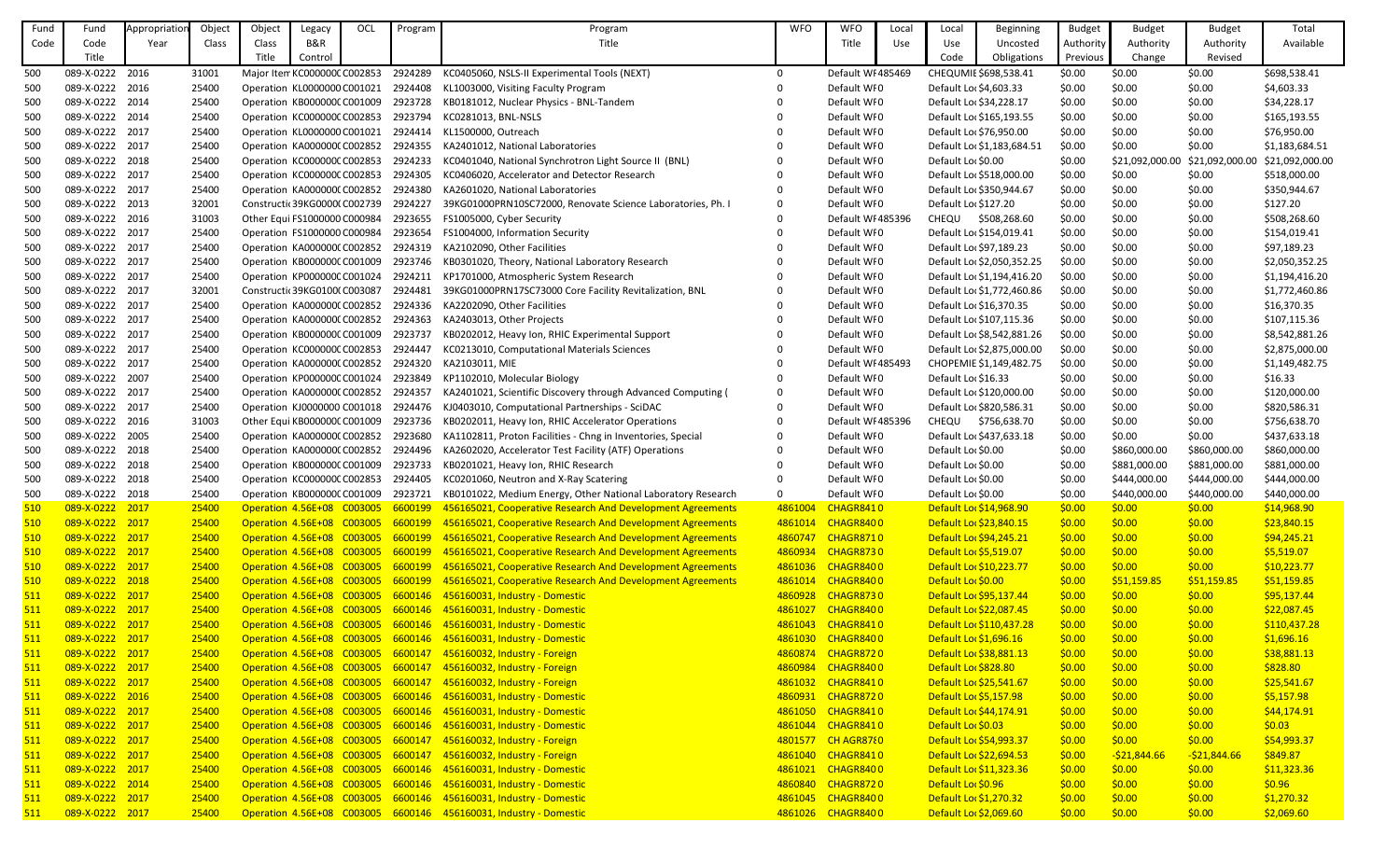| Fund       | Fund            | Appropriation | Object | Object | Legacy                             | OCL | Program | Program                                                                                       | <b>WFO</b>   | <b>WFO</b>         | Local | Local                         | <b>Beginning</b>           | <b>Budget</b> | <b>Budget</b>  | <b>Budget</b>  | Total           |
|------------|-----------------|---------------|--------|--------|------------------------------------|-----|---------|-----------------------------------------------------------------------------------------------|--------------|--------------------|-------|-------------------------------|----------------------------|---------------|----------------|----------------|-----------------|
| Code       | Code            | Year          | Class  | Class  | B&R                                |     |         | Title                                                                                         |              | Title              | Use   | Use                           | Uncosted                   | Authority     | Authority      | Authority      | Available       |
|            | Title           |               |        | Title  | Control                            |     |         |                                                                                               |              |                    |       | Code                          | Obligations                | Previous      | Change         | Revised        |                 |
| 500        | 089-X-0222 2016 |               | 31001  |        | Major Item KC000000C C002853       |     | 2924289 | KC0405060, NSLS-II Experimental Tools (NEXT)                                                  | $\Omega$     | Default WI 485469  |       |                               | CHEQUMIE \$698,538.41      | \$0.00        | \$0.00         | \$0.00         | \$698,538.41    |
| 500        | 089-X-0222 2016 |               | 25400  |        | Operation KL0000000 C001021        |     | 2924408 | KL1003000, Visiting Faculty Program                                                           |              | Default WI0        |       | Default Loc \$4,603.33        |                            | \$0.00        | \$0.00         | \$0.00         | \$4,603.33      |
| 500        | 089-X-0222 2014 |               | 25400  |        | Operation KB000000C C001009        |     | 2923728 | KB0181012, Nuclear Physics - BNL-Tandem                                                       |              | Default WI0        |       | Default Loc \$34,228.17       |                            | \$0.00        | \$0.00         | \$0.00         | \$34,228.17     |
| 500        | 089-X-0222 2014 |               | 25400  |        | Operation KC000000CC002853         |     | 2923794 | KC0281013, BNL-NSLS                                                                           |              | Default WI0        |       |                               | Default Loc \$165,193.55   | \$0.00        | \$0.00         | \$0.00         | \$165,193.55    |
|            | 089-X-0222 2017 |               |        |        |                                    |     |         |                                                                                               |              |                    |       |                               |                            |               |                |                |                 |
| 500        |                 |               | 25400  |        | Operation KL0000000 C001021        |     | 2924414 | KL1500000, Outreach                                                                           |              | Default WI0        |       | Default Loc \$76,950.00       |                            | \$0.00        | \$0.00         | \$0.00         | \$76,950.00     |
| 500        | 089-X-0222 2017 |               | 25400  |        | Operation KA0000000 C002852        |     | 2924355 | KA2401012, National Laboratories                                                              |              | Default WI0        |       |                               | Default Loc \$1,183,684.51 | \$0.00        | \$0.00         | \$0.00         | \$1,183,684.51  |
| 500        | 089-X-0222 2018 |               | 25400  |        | Operation KC000000C C002853        |     | 2924233 | KC0401040, National Synchrotron Light Source II (BNL)                                         |              | Default WI0        |       | Default Lor \$0.00            |                            | \$0.00        | \$21,092,000.0 | \$21,092,000.0 | \$21,092,000.00 |
| 500        | 089-X-0222 2017 |               | 25400  |        | Operation KC000000C C002853        |     | 2924305 | KC0406020, Accelerator and Detector Research                                                  |              | Default WI0        |       |                               | Default Loc \$518,000.00   | \$0.00        | \$0.00         | \$0.00         | \$518,000.00    |
| 500        | 089-X-0222 2017 |               | 25400  |        | Operation KA0000000 C002852        |     | 2924380 | KA2601020, National Laboratories                                                              |              | Default WI0        |       |                               | Default Loc \$350,944.67   | \$0.00        | \$0.00         | \$0.00         | \$350,944.67    |
| 500        | 089-X-0222 2013 |               | 32001  |        | Constructic 39KG00000 C002739      |     | 2924227 | 39KG01000PRN10SC72000, Renovate Science Laboratories, Ph. I                                   | $\Omega$     | Default WI0        |       | Default Loc \$127.20          |                            | \$0.00        | \$0.00         | \$0.00         | \$127.20        |
| 500        | 089-X-0222 2016 |               | 31003  |        | Other Equi FS1000000 C000984       |     | 2923655 | FS1005000, Cyber Security                                                                     |              | Default WI 485396  |       | CHEQU                         | \$508,268.60               | \$0.00        | \$0.00         | \$0.00         | \$508,268.60    |
| 500        | 089-X-0222 2017 |               | 25400  |        | Operation FS1000000 C000984        |     | 2923654 | FS1004000, Information Security                                                               |              | Default WI0        |       |                               | Default Loc \$154,019.41   | \$0.00        | \$0.00         | \$0.00         | \$154,019.41    |
| 500        | 089-X-0222 2017 |               | 25400  |        | Operation KA0000000 C002852        |     | 2924319 | KA2102090, Other Facilities                                                                   |              | Default WI0        |       | Default Loc \$97,189.23       |                            | \$0.00        | \$0.00         | \$0.00         | \$97,189.23     |
| 500        | 089-X-0222 2017 |               | 25400  |        | Operation KB000000C C001009        |     | 2923746 | KB0301020, Theory, National Laboratory Research                                               |              | Default WF0        |       |                               | Default Loc \$2,050,352.25 | \$0.00        | \$0.00         | \$0.00         | \$2,050,352.25  |
| 500        | 089-X-0222 2017 |               | 25400  |        | Operation KP000000C C001024        |     | 2924211 | KP1701000, Atmospheric System Research                                                        |              | Default WI0        |       |                               | Default Loc \$1,194,416.20 | \$0.00        | \$0.00         | \$0.00         | \$1,194,416.20  |
| 500        | 089-X-0222 2017 |               | 32001  |        | Constructic 39KG0100(C003087       |     | 2924481 | 39KG01000PRN17SC73000 Core Facility Revitalization, BNL                                       |              | Default WI0        |       |                               | Default Loc \$1,772,460.86 | \$0.00        | \$0.00         | \$0.00         | \$1,772,460.86  |
| 500        | 089-X-0222 2017 |               | 25400  |        | Operation KA0000000 C002852        |     | 2924336 | KA2202090, Other Facilities                                                                   |              | Default WI0        |       | Default Loc \$16,370.35       |                            | \$0.00        | \$0.00         | \$0.00         | \$16,370.35     |
| 500        | 089-X-0222 2017 |               | 25400  |        | Operation KA0000000 C002852        |     | 2924363 | KA2403013, Other Projects                                                                     |              | Default WI0        |       |                               | Default Loc \$107,115.36   | \$0.00        | \$0.00         | \$0.00         | \$107,115.36    |
| 500        | 089-X-0222 2017 |               | 25400  |        | Operation KB000000C C001009        |     | 2923737 | KB0202012, Heavy Ion, RHIC Experimental Support                                               |              | Default WI0        |       |                               | Default Loc \$8,542,881.26 | \$0.00        | \$0.00         | \$0.00         | \$8,542,881.26  |
| 500        | 089-X-0222 2017 |               | 25400  |        | Operation KC000000CC002853         |     | 2924447 | KC0213010, Computational Materials Sciences                                                   |              | Default WI0        |       |                               | Default Loc \$2,875,000.00 | \$0.00        | \$0.00         | \$0.00         | \$2,875,000.00  |
| 500        | 089-X-0222 2017 |               | 25400  |        | Operation KA0000000 C002852        |     | 2924320 | KA2103011, MIE                                                                                |              | Default WI 485493  |       |                               | CHOPEMIE \$1,149,482.75    | \$0.00        | \$0.00         | \$0.00         | \$1,149,482.75  |
| 500        | 089-X-0222 2007 |               | 25400  |        | Operation KP000000C C001024        |     | 2923849 | KP1102010, Molecular Biology                                                                  |              | Default WI0        |       | Default Loc \$16.33           |                            | \$0.00        | \$0.00         | \$0.00         | \$16.33         |
| 500        | 089-X-0222 2017 |               | 25400  |        | Operation KA0000000 C002852        |     | 2924357 | KA2401021, Scientific Discovery through Advanced Computing (                                  | 0            | Default WI0        |       |                               | Default Lor \$120,000.00   | \$0.00        | \$0.00         | \$0.00         | \$120,000.00    |
| 500        | 089-X-0222 2017 |               | 25400  |        | Operation KJ0000000 C001018        |     | 2924476 | KJ0403010, Computational Partnerships - SciDAC                                                |              | Default WI0        |       |                               | Default Loc \$820,586.31   | \$0.00        | \$0.00         | \$0.00         | \$820,586.31    |
| 500        | 089-X-0222 2016 |               | 31003  |        | Other Equi KB000000C C001009       |     | 2923736 | KB0202011, Heavy Ion, RHIC Accelerator Operations                                             |              | Default WI 485396  |       | <b>CHEQU</b>                  | \$756,638.70               | \$0.00        | \$0.00         | \$0.00         | \$756,638.70    |
|            |                 |               |        |        |                                    |     |         | KA1102811, Proton Facilities - Chng in Inventories, Special                                   |              |                    |       |                               |                            |               |                |                |                 |
| 500        | 089-X-0222 2005 |               | 25400  |        | Operation KA0000000 C002852        |     | 2923680 |                                                                                               |              | Default WI0        |       |                               | Default Loc \$437,633.18   | \$0.00        | \$0.00         | \$0.00         | \$437,633.18    |
| 500        | 089-X-0222 2018 |               | 25400  |        | Operation KA0000000 C002852        |     | 2924496 | KA2602020, Accelerator Test Facility (ATF) Operations                                         |              | Default WI0        |       | Default Lor \$0.00            |                            | \$0.00        | \$860,000.00   | \$860,000.00   | \$860,000.00    |
| 500        | 089-X-0222 2018 |               | 25400  |        | Operation KB000000CC001009         |     | 2923733 | KB0201021, Heavy Ion, RHIC Research                                                           |              | Default WI0        |       | Default Lor \$0.00            |                            | \$0.00        | \$881,000.00   | \$881,000.00   | \$881,000.00    |
| 500        | 089-X-0222 2018 |               | 25400  |        | Operation KC000000CC002853         |     | 2924405 | KC0201060, Neutron and X-Ray Scatering                                                        | 0            | Default WI0        |       | Default Lor \$0.00            |                            | \$0.00        | \$444,000.00   | \$444,000.00   | \$444,000.00    |
| 500        | 089-X-0222 2018 |               | 25400  |        | Operation KB000000C C001009        |     | 2923721 | KB0101022, Medium Energy, Other National Laboratory Research                                  | $\mathbf{0}$ | Default WI0        |       | Default Lor \$0.00            |                            | \$0.00        | \$440,000.00   | \$440,000.00   | \$440,000.00    |
| 510        | 089-X-0222 2017 |               | 25400  |        | Operation 4.56E+08 C003005 6600199 |     |         | 456165021, Cooperative Research And Development Agreements                                    | 4861004      | CHAGR8410          |       | Default Lor \$14,968.90       |                            | \$0.00        | \$0.00         | \$0.00         | \$14,968.90     |
| 510        | 089-X-0222 2017 |               | 25400  |        | Operation 4.56E+08 C003005 6600199 |     |         | 456165021, Cooperative Research And Development Agreements                                    |              | 4861014 CHAGR8400  |       | Default Lor \$23,840.15       |                            | \$0.00        | \$0.00         | \$0.00         | \$23,840.15     |
| 510        | 089-X-0222 2017 |               | 25400  |        | Operation 4.56E+08 C003005         |     | 6600199 | 456165021, Cooperative Research And Development Agreements                                    |              | 4860747 CHAGR8710  |       | Default Lor \$94,245.21       |                            | \$0.00        | \$0.00         | \$0.00         | \$94,245.21     |
| 510        | 089-X-0222 2017 |               | 25400  |        | Operation 4.56E+08 C003005         |     | 6600199 | 456165021, Cooperative Research And Development Agreements                                    |              | 4860934 CHAGR8730  |       | Default Lor \$5,519.07        |                            | \$0.00        | \$0.00         | \$0.00         | \$5,519.07      |
| 510        | 089-X-0222 2017 |               | 25400  |        | Operation 4.56E+08 C003005         |     | 6600199 | 456165021, Cooperative Research And Development Agreements                                    |              | 4861036 CHAGR8400  |       | Default Lor \$10,223.77       |                            | \$0.00        | \$0.00         | \$0.00         | \$10,223.77     |
| 510        | 089-X-0222 2018 |               | 25400  |        |                                    |     |         | Operation 4.56E+08 C003005 6600199 456165021, Cooperative Research And Development Agreements |              | 4861014 CHAGR8400  |       | Default Lor \$0.00            |                            | \$0.00        | \$51,159.85    | \$51,159.85    | \$51,159.85     |
| <u>511</u> | 089-X-0222 2017 |               | 25400  |        |                                    |     |         | Operation 4.56E+08 C003005 6600146 456160031, Industry - Domestic                             |              | 4860928 CHAGR8730  |       | Default Lor \$95,137.44       |                            | \$0.00        | \$0.00         | \$0.00         | \$95,137.44     |
| <u>511</u> | 089-X-0222 2017 |               | 25400  |        |                                    |     |         | Operation 4.56E+08 C003005 6600146 456160031, Industry - Domestic                             |              | 4861027 CHAGR8400  |       | Default Lor \$22,087.45       |                            | \$0.00        | \$0.00         | \$0.00         | \$22,087.45     |
| 511        | 089-X-0222 2017 |               | 25400  |        |                                    |     |         | Operation 4.56E+08 C003005 6600146 456160031, Industry - Domestic                             |              | 4861043 CHAGR8410  |       |                               | Default Loc \$110,437.28   | \$0.00        | \$0.00         | \$0.00         | \$110,437.28    |
| 511        | 089-X-0222 2017 |               | 25400  |        |                                    |     |         | Operation 4.56E+08 C003005 6600146 456160031, Industry - Domestic                             |              | 4861030 CHAGR8400  |       | Default Lor \$1,696.16        |                            | \$0.00        | \$0.00         | \$0.00         | \$1,696.16      |
| <u>511</u> | 089-X-0222 2017 |               | 25400  |        |                                    |     |         | Operation 4.56E+08 C003005 6600147 456160032, Industry - Foreign                              |              | 4860874 CHAGR8720  |       | Default Lor \$38,881.13       |                            | \$0.00        | \$0.00         | \$0.00         | \$38,881.13     |
| <u>511</u> | 089-X-0222 2017 |               | 25400  |        |                                    |     |         | Operation 4.56E+08 C003005 6600147 456160032, Industry - Foreign                              |              | 4860984 CHAGR8400  |       | Default Lor \$828.80          |                            | \$0.00        | \$0.00         | \$0.00         | \$828.80        |
| <u>511</u> | 089-X-0222 2017 |               | 25400  |        |                                    |     |         | Operation 4.56E+08 C003005 6600147 456160032, Industry - Foreign                              |              | 4861032 CHAGR8410  |       | Default Lor \$25,541.67       |                            | \$0.00        | \$0.00         | \$0.00         | \$25,541.67     |
| <u>511</u> | 089-X-0222 2016 |               | 25400  |        | Operation 4.56E+08 C003005         |     |         | 6600146 456160031, Industry - Domestic                                                        |              | 4860931 CHAGR8720  |       | <b>Default Lor \$5,157.98</b> |                            | \$0.00        | \$0.00         | \$0.00         | \$5,157.98      |
| <u>511</u> | 089-X-0222 2017 |               | 25400  |        |                                    |     |         | Operation 4.56E+08 C003005 6600146 456160031, Industry - Domestic                             |              | 4861050 CHAGR8410  |       | Default Loc \$44,174.91       |                            | \$0.00        | \$0.00         | \$0.00         | \$44,174.91     |
| <u>511</u> | 089-X-0222 2017 |               | 25400  |        |                                    |     |         | Operation 4.56E+08 C003005 6600146 456160031, Industry - Domestic                             |              | 4861044 CHAGR8410  |       | Default Lor \$0.03            |                            | \$0.00        | \$0.00         | \$0.00         | \$0.03\$        |
| <u>511</u> | 089-X-0222 2017 |               | 25400  |        |                                    |     |         | Operation 4.56E+08 C003005 6600147 456160032, Industry - Foreign                              |              | 4801577 CH AGR8780 |       | Default Loc \$54,993.37       |                            | \$0.00        | \$0.00         | \$0.00         | \$54,993.37     |
| 511        | 089-X-0222 2017 |               | 25400  |        |                                    |     |         | Operation 4.56E+08 C003005 6600147 456160032, Industry - Foreign                              |              | 4861040 CHAGR8410  |       | Default Lor \$22,694.53       |                            | \$0.00        | $-521,844.66$  | -\$21,844.66   | \$849.87        |
| 511        | 089-X-0222 2017 |               | 25400  |        |                                    |     |         | Operation 4.56E+08 C003005 6600146 456160031, Industry - Domestic                             |              | 4861021 CHAGR8400  |       | Default Loc \$11,323.36       |                            | \$0.00        | \$0.00         | \$0.00         | \$11,323.36     |
| <b>511</b> | 089-X-0222 2014 |               | 25400  |        |                                    |     |         | Operation 4.56E+08 C003005 6600146 456160031, Industry - Domestic                             |              | 4860840 CHAGR8720  |       | Default Lor \$0.96            |                            | \$0.00        | \$0.00         | \$0.00         | \$0.96          |
| <u>511</u> | 089-X-0222 2017 |               | 25400  |        |                                    |     |         | Operation 4.56E+08 C003005 6600146 456160031, Industry - Domestic                             |              | 4861045 CHAGR8400  |       | Default Lor \$1,270.32        |                            | \$0.00        | \$0.00         | \$0.00         | \$1,270.32      |
| 511        | 089-X-0222 2017 |               | 25400  |        |                                    |     |         | Operation 4.56E+08 C003005 6600146 456160031, Industry - Domestic                             |              | 4861026 CHAGR8400  |       | Default Lor \$2,069.60        |                            | \$0.00        | \$0.00         | \$0.00         | \$2,069.60      |
|            |                 |               |        |        |                                    |     |         |                                                                                               |              |                    |       |                               |                            |               |                |                |                 |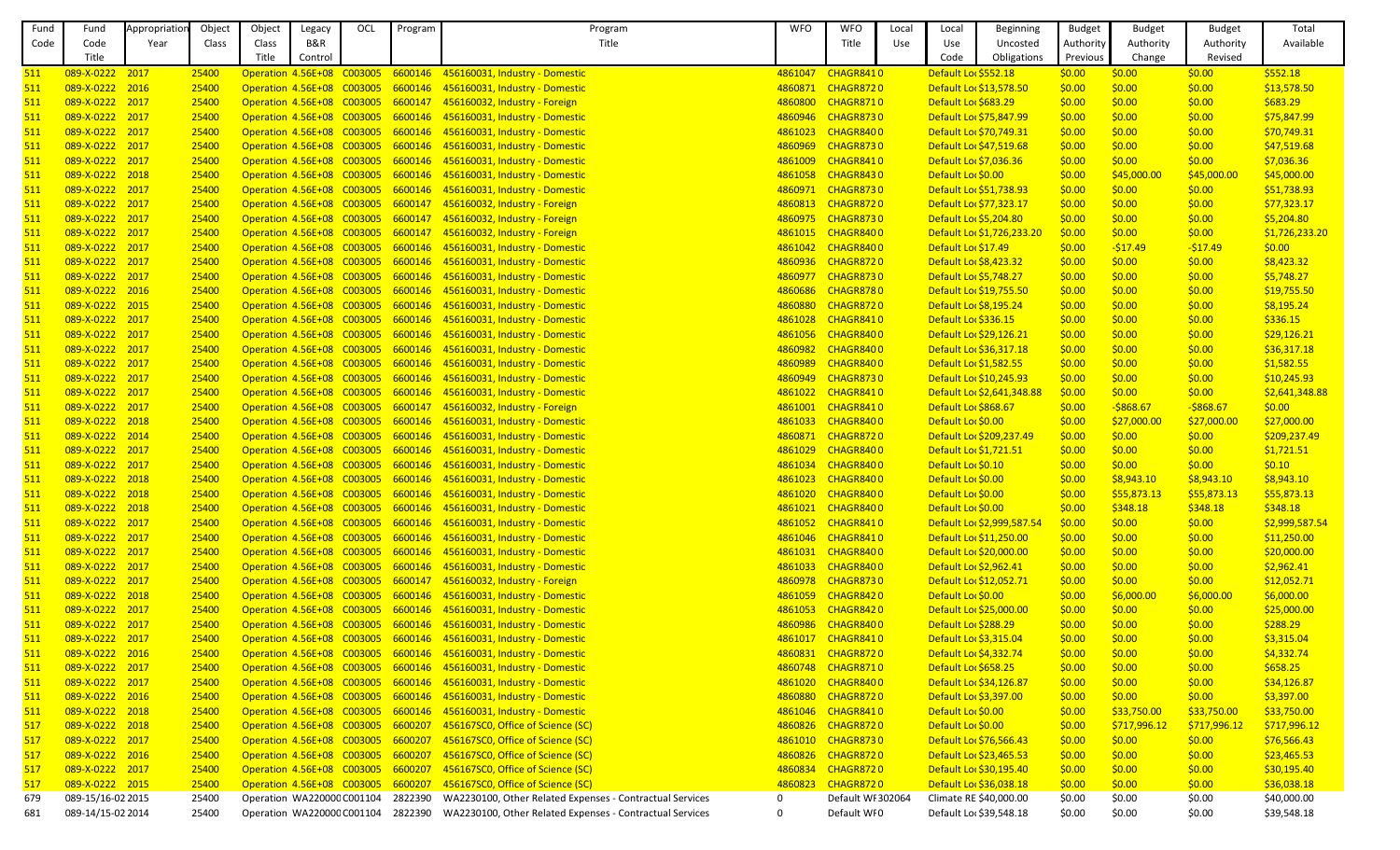| Fund       | Fund              | Appropriation | Object | Object                     | Legacy  | OCL                                | Program | Program                                                           | <b>WFO</b>  | <b>WFO</b>        | Local | Local                   | <b>Beginning</b>           | <b>Budget</b> | <b>Budget</b> | <b>Budget</b> | Total          |
|------------|-------------------|---------------|--------|----------------------------|---------|------------------------------------|---------|-------------------------------------------------------------------|-------------|-------------------|-------|-------------------------|----------------------------|---------------|---------------|---------------|----------------|
| Code       | Code              | Year          | Class  | Class                      | B&R     |                                    |         | Title                                                             |             | Title             | Use   | Use                     | Uncosted                   | Authority     | Authority     | Authority     | Available      |
|            | Title             |               |        | Title                      | Control |                                    |         |                                                                   |             |                   |       | Code                    | Obligations                | Previous      | Change        | Revised       |                |
| 511        | 089-X-0222 2017   |               | 25400  |                            |         |                                    |         | Operation 4.56E+08 C003005 6600146 456160031, Industry - Domestic | 4861047     | CHAGR8410         |       | Default Lor \$552.18    |                            | \$0.00        | \$0.00        | \$0.00        | \$552.18       |
| <u>511</u> | 089-X-0222 2016   |               | 25400  |                            |         |                                    |         | Operation 4.56E+08 C003005 6600146 456160031, Industry - Domestic |             | 4860871 CHAGR8720 |       | Default Lor \$13,578.50 |                            | \$0.00        | \$0.00        | \$0.00        | \$13,578.50    |
| 511        | 089-X-0222 2017   |               | 25400  |                            |         |                                    |         | Operation 4.56E+08 C003005 6600147 456160032, Industry - Foreign  | 4860800     | CHAGR8710         |       | Default Lor \$683.29    |                            | \$0.00        | \$0.00        | \$0.00        | \$683.29       |
| 511        | 089-X-0222 2017   |               | 25400  |                            |         |                                    |         | Operation 4.56E+08 C003005 6600146 456160031, Industry - Domestic |             | 4860946 CHAGR8730 |       | Default Loc \$75,847.99 |                            | \$0.00        | \$0.00        | \$0.00        | \$75,847.99    |
| 511        | 089-X-0222 2017   |               | 25400  |                            |         |                                    |         | Operation 4.56E+08 C003005 6600146 456160031, Industry - Domestic | 4861023     | CHAGR8400         |       | Default Loc \$70,749.31 |                            | \$0.00        | \$0.00        | \$0.00        | \$70,749.31    |
| 511        | 089-X-0222 2017   |               | 25400  |                            |         |                                    |         | Operation 4.56E+08 C003005 6600146 456160031, Industry - Domestic | 4860969     | CHAGR8730         |       | Default Lor \$47,519.68 |                            | \$0.00        | \$0.00        | \$0.00        | \$47,519.68    |
| 511        | 089-X-0222 2017   |               | 25400  |                            |         |                                    |         | Operation 4.56E+08 C003005 6600146 456160031, Industry - Domestic | 4861009     | CHAGR8410         |       | Default Lor \$7,036.36  |                            | \$0.00        | \$0.00        | \$0.00        | \$7,036.36     |
| 511        | 089-X-0222 2018   |               | 25400  |                            |         |                                    |         | Operation 4.56E+08 C003005 6600146 456160031, Industry - Domestic | 4861058     | CHAGR8430         |       | Default Lor \$0.00      |                            | \$0.00        | \$45,000.00   | \$45,000.00   | \$45,000.00    |
| <u>511</u> | 089-X-0222 2017   |               | 25400  |                            |         |                                    |         | Operation 4.56E+08 C003005 6600146 456160031, Industry - Domestic | 4860971     | CHAGR8730         |       | Default Loc \$51,738.93 |                            | \$0.00        | \$0.00        | \$0.00        | \$51,738.93    |
| 511        | 089-X-0222 2017   |               | 25400  |                            |         |                                    |         | Operation 4.56E+08 C003005 6600147 456160032, Industry - Foreign  | 4860813     | CHAGR8720         |       | Default Loc \$77,323.17 |                            | \$0.00        | \$0.00        | \$0.00        | \$77,323.17    |
| 511        | 089-X-0222 2017   |               | 25400  |                            |         |                                    |         | Operation 4.56E+08 C003005 6600147 456160032, Industry - Foreign  | 4860975     | CHAGR8730         |       | Default Lor \$5,204.80  |                            | \$0.00        | \$0.00        | \$0.00        | \$5,204.80     |
| 511        | 089-X-0222 2017   |               | 25400  |                            |         |                                    |         | Operation 4.56E+08 C003005 6600147 456160032, Industry - Foreign  |             | 4861015 CHAGR8400 |       |                         | Default Lor \$1,726,233.20 | \$0.00        | \$0.00        | \$0.00        | \$1,726,233.20 |
| 511        | 089-X-0222 2017   |               | 25400  |                            |         |                                    |         | Operation 4.56E+08 C003005 6600146 456160031, Industry - Domestic |             | 4861042 CHAGR8400 |       | Default Loc \$17.49     |                            | \$0.00        | $-517.49$     | $-517.49$     | \$0.00         |
| <u>511</u> | 089-X-0222 2017   |               | 25400  |                            |         |                                    |         | Operation 4.56E+08 C003005 6600146 456160031, Industry - Domestic | 4860936     | CHAGR8720         |       | Default Loc \$8,423.32  |                            | \$0.00        | \$0.00        | \$0.00        | \$8,423.32     |
| 511        | 089-X-0222 2017   |               | 25400  |                            |         |                                    |         | Operation 4.56E+08 C003005 6600146 456160031, Industry - Domestic | 4860977     | CHAGR8730         |       | Default Lor \$5,748.27  |                            | \$0.00        | \$0.00        | \$0.00        | \$5,748.27     |
| 511        | 089-X-0222 2016   |               | 25400  |                            |         |                                    |         | Operation 4.56E+08 C003005 6600146 456160031, Industry - Domestic | 4860686     | CHAGR8780         |       | Default Loc \$19,755.50 |                            | \$0.00        | \$0.00        | \$0.00        | \$19,755.50    |
| 511        | 089-X-0222 2015   |               | 25400  |                            |         |                                    |         | Operation 4.56E+08 C003005 6600146 456160031, Industry - Domestic | 4860880     | CHAGR8720         |       | Default Lor \$8,195.24  |                            | \$0.00        | \$0.00        | \$0.00        | \$8,195.24     |
|            |                   |               |        |                            |         |                                    |         |                                                                   |             |                   |       |                         |                            |               |               |               |                |
| 511        | 089-X-0222 2017   |               | 25400  |                            |         |                                    |         | Operation 4.56E+08 C003005 6600146 456160031, Industry - Domestic | 4861028     | CHAGR8410         |       | Default Lor \$336.15    |                            | \$0.00        | \$0.00        | \$0.00        | \$336.15       |
| <u>511</u> | 089-X-0222 2017   |               | 25400  |                            |         |                                    |         | Operation 4.56E+08 C003005 6600146 456160031, Industry - Domestic | 4861056     | CHAGR8400         |       | Default Lor \$29,126.21 |                            | \$0.00        | \$0.00        | \$0.00        | \$29,126.21    |
| 511        | 089-X-0222 2017   |               | 25400  |                            |         |                                    |         | Operation 4.56E+08 C003005 6600146 456160031, Industry - Domestic | 4860982     | CHAGR8400         |       | Default Loc \$36,317.18 |                            | \$0.00        | \$0.00        | \$0.00        | \$36,317.18    |
| <u>511</u> | 089-X-0222 2017   |               | 25400  |                            |         |                                    |         | Operation 4.56E+08 C003005 6600146 456160031, Industry - Domestic | 4860989     | CHAGR8400         |       | Default Lor \$1,582.55  |                            | \$0.00        | \$0.00        | \$0.00        | \$1,582.55     |
| 511        | 089-X-0222 2017   |               | 25400  |                            |         |                                    |         | Operation 4.56E+08 C003005 6600146 456160031, Industry - Domestic | 4860949     | CHAGR8730         |       | Default Lor \$10,245.93 |                            | \$0.00        | \$0.00        | \$0.00        | \$10,245.93    |
| 511        | 089-X-0222 2017   |               | 25400  |                            |         |                                    |         | Operation 4.56E+08 C003005 6600146 456160031, Industry - Domestic | 4861022     | CHAGR8410         |       |                         | Default Lor \$2,641,348.88 | \$0.00        | \$0.00        | \$0.00        | \$2,641,348.88 |
| 511        | 089-X-0222 2017   |               | 25400  |                            |         |                                    |         | Operation 4.56E+08 C003005 6600147 456160032, Industry - Foreign  | 4861001     | CHAGR8410         |       | Default Lor \$868.67    |                            | \$0.00        | $-5868.67$    | $-5868.67$    | \$0.00         |
| 511        | 089-X-0222 2018   |               | 25400  |                            |         |                                    |         | Operation 4.56E+08 C003005 6600146 456160031, Industry - Domestic | 4861033     | CHAGR8400         |       | Default Lor \$0.00      |                            | \$0.00        | \$27,000.00   | \$27,000.00   | \$27,000.00    |
| 511        | 089-X-0222 2014   |               | 25400  |                            |         |                                    |         | Operation 4.56E+08 C003005 6600146 456160031, Industry - Domestic | 4860871     | CHAGR8720         |       |                         | Default Lor \$209,237.49   | \$0.00        | \$0.00        | \$0.00        | \$209,237.49   |
| 511        | 089-X-0222 2017   |               | 25400  |                            |         |                                    |         | Operation 4.56E+08 C003005 6600146 456160031, Industry - Domestic | 4861029     | CHAGR8400         |       | Default Loc \$1,721.51  |                            | \$0.00        | \$0.00        | \$0.00        | \$1,721.51     |
| 511        | 089-X-0222 2017   |               | 25400  |                            |         |                                    |         | Operation 4.56E+08 C003005 6600146 456160031, Industry - Domestic |             | 4861034 CHAGR8400 |       | Default Lor \$0.10      |                            | \$0.00        | \$0.00        | \$0.00        | \$0.10         |
| 511        | 089-X-0222 2018   |               | 25400  |                            |         |                                    |         | Operation 4.56E+08 C003005 6600146 456160031, Industry - Domestic | 4861023     | CHAGR8400         |       | Default Lor \$0.00      |                            | \$0.00        | \$8,943.10    | \$8,943.10    | \$8,943.10     |
| 511        | 089-X-0222 2018   |               | 25400  | Operation 4.56E+08 C003005 |         |                                    |         | 6600146 456160031, Industry - Domestic                            | 4861020     | CHAGR8400         |       | Default Lor \$0.00      |                            | \$0.00        | \$55,873.13   | \$55,873.13   | \$55,873.13    |
| 511        | 089-X-0222 2018   |               | 25400  | Operation 4.56E+08 C003005 |         |                                    |         | 6600146 456160031, Industry - Domestic                            | 4861021     | CHAGR8400         |       | Default Lor \$0.00      |                            | \$0.00        | \$348.18      | \$348.18      | \$348.18       |
| 511        | 089-X-0222 2017   |               | 25400  | Operation 4.56E+08 C003005 |         |                                    |         | 6600146 456160031, Industry - Domestic                            | 4861052     | CHAGR8410         |       |                         | Default Loc \$2,999,587.54 | \$0.00        | \$0.00        | \$0.00        | \$2,999,587.54 |
| 511        | 089-X-0222 2017   |               | 25400  | Operation 4.56E+08 C003005 |         |                                    | 6600146 | 456160031, Industry - Domestic                                    | 4861046     | CHAGR8410         |       | Default Lor \$11,250.00 |                            | \$0.00        | \$0.00        | \$0.00        | \$11,250.00    |
| 511        | 089-X-0222 2017   |               | 25400  | Operation 4.56E+08 C003005 |         |                                    |         | 6600146 456160031, Industry - Domestic                            | 4861031     | CHAGR8400         |       | Default Lor \$20,000.00 |                            | \$0.00        | \$0.00        | \$0.00        | \$20,000.00    |
| 511        | 089-X-0222 2017   |               | 25400  | Operation 4.56E+08 C003005 |         |                                    |         | 6600146 456160031, Industry - Domestic                            | 4861033     | CHAGR8400         |       | Default Lor \$2,962.41  |                            | \$0.00        | \$0.00        | \$0.00        | \$2,962.41     |
| 511        | 089-X-0222 2017   |               | 25400  | Operation 4.56E+08 C003005 |         |                                    |         | 6600147 456160032, Industry - Foreign                             | 4860978     | CHAGR8730         |       | Default Lor \$12,052.71 |                            | \$0.00        | \$0.00        | \$0.00        | \$12,052.71    |
| 511        | 089-X-0222 2018   |               | 25400  | Operation 4.56E+08 C003005 |         |                                    |         | 6600146 456160031, Industry - Domestic                            | 4861059     | CHAGR8420         |       | Default Lor \$0.00      |                            | \$0.00        | \$6,000.00    | \$6,000.00    | \$6,000.00     |
| 511        | 089-X-0222 2017   |               | 25400  | Operation 4.56E+08 C003005 |         |                                    |         | 6600146 456160031, Industry - Domestic                            | 4861053     | CHAGR8420         |       | Default Lor \$25,000.00 |                            | \$0.00        | \$0.00        | \$0.00        | \$25,000.00    |
| 511        | 089-X-0222 2017   |               | 25400  | Operation 4.56E+08 C003005 |         |                                    |         | 6600146 456160031, Industry - Domestic                            | 4860986     | CHAGR8400         |       | Default Lor \$288.29    |                            | \$0.00        | \$0.00        | \$0.00        | \$288.29       |
| 511        | 089-X-0222 2017   |               | 25400  | Operation 4.56E+08 C003005 |         |                                    | 6600146 | 456160031, Industry - Domestic                                    | 4861017     | CHAGR8410         |       | Default Lor \$3,315.04  |                            | \$0.00        | \$0.00        | \$0.00        | \$3,315.04     |
| 511        | 089-X-0222 2016   |               | 25400  |                            |         |                                    |         | Operation 4.56E+08 C003005 6600146 456160031, Industry - Domestic | 4860831     | CHAGR8720         |       | Default Loc \$4,332.74  |                            | \$0.00        | \$0.00        | \$0.00        | \$4,332.74     |
| 511        | 089-X-0222 2017   |               | 25400  | Operation 4.56E+08 C003005 |         |                                    |         | 6600146 456160031, Industry - Domestic                            | 4860748     | CHAGR8710         |       | Default Lor \$658.25    |                            | \$0.00        | \$0.00        | \$0.00        | \$658.25       |
| 511        | 089-X-0222 2017   |               | 25400  | Operation 4.56E+08 C003005 |         |                                    |         | 6600146 456160031, Industry - Domestic                            | 4861020     | CHAGR8400         |       | Default Lor \$34,126.87 |                            | \$0.00        | \$0.00        | \$0.00        | \$34,126.87    |
| 511        | 089-X-0222 2016   |               | 25400  | Operation 4.56E+08 C003005 |         |                                    |         | 6600146 456160031, Industry - Domestic                            | 4860880     | CHAGR8720         |       | Default Lor \$3,397.00  |                            | \$0.00        | \$0.00        | \$0.00        | \$3,397.00     |
| 511        | 089-X-0222 2018   |               | 25400  | Operation 4.56E+08 C003005 |         |                                    | 6600146 | 456160031, Industry - Domestic                                    | 4861046     | CHAGR8410         |       | Default Lor \$0.00      |                            | \$0.00        | \$33,750.00   | \$33,750.00   | \$33,750.00    |
| 517        | 089-X-0222 2018   |               | 25400  | Operation 4.56E+08 C003005 |         |                                    | 6600207 | 456167SC0, Office of Science (SC)                                 | 4860826     | CHAGR8720         |       | Default Lor \$0.00      |                            | \$0.00        | \$717,996.12  | \$717,996.12  | \$717,996.12   |
| 517        | 089-X-0222 2017   |               | 25400  | Operation 4.56E+08 C003005 |         |                                    | 6600207 | 456167SC0, Office of Science (SC)                                 | 4861010     | CHAGR8730         |       | Default Lor \$76,566.43 |                            | \$0.00        | \$0.00        | \$0.00        | \$76,566.43    |
| 517        | 089-X-0222 2016   |               | 25400  | Operation 4.56E+08 C003005 |         |                                    | 6600207 | 456167SC0, Office of Science (SC)                                 | 4860826     | CHAGR8720         |       | Default Lor \$23,465.53 |                            | \$0.00        | \$0.00        | \$0.00        | \$23,465.53    |
| 517        | 089-X-0222 2017   |               | 25400  | Operation 4.56E+08 C003005 |         |                                    | 6600207 | 456167SCO, Office of Science (SC)                                 | 4860834     | CHAGR8720         |       | Default Lor \$30,195.40 |                            | \$0.00        | \$0.00        | \$0.00        | \$30,195.40    |
| 517        | 089-X-0222 2015   |               | 25400  | Operation 4.56E+08 C003005 |         |                                    | 6600207 | 456167SCO, Office of Science (SC)                                 | 4860823     | CHAGR8720         |       |                         | Default Lor \$36,038.18    | \$0.00        | \$0.00        | \$0.00        | \$36,038.18    |
| 679        | 089-15/16-02 2015 |               | 25400  | Operation WA220000 C001104 |         |                                    | 2822390 | WA2230100, Other Related Expenses - Contractual Services          | $\mathbf 0$ | Default WI 302064 |       |                         | Climate RE \$40,000.00     | \$0.00        | \$0.00        | \$0.00        | \$40,000.00    |
|            |                   |               |        |                            |         | Operation WA220000 C001104 2822390 |         | WA2230100, Other Related Expenses - Contractual Services          | $\Omega$    |                   |       |                         |                            |               |               |               |                |
| 681        | 089-14/15-02 2014 |               | 25400  |                            |         |                                    |         |                                                                   |             | Default WI0       |       |                         | Default Loc \$39,548.18    | \$0.00        | \$0.00        | \$0.00        | \$39,548.18    |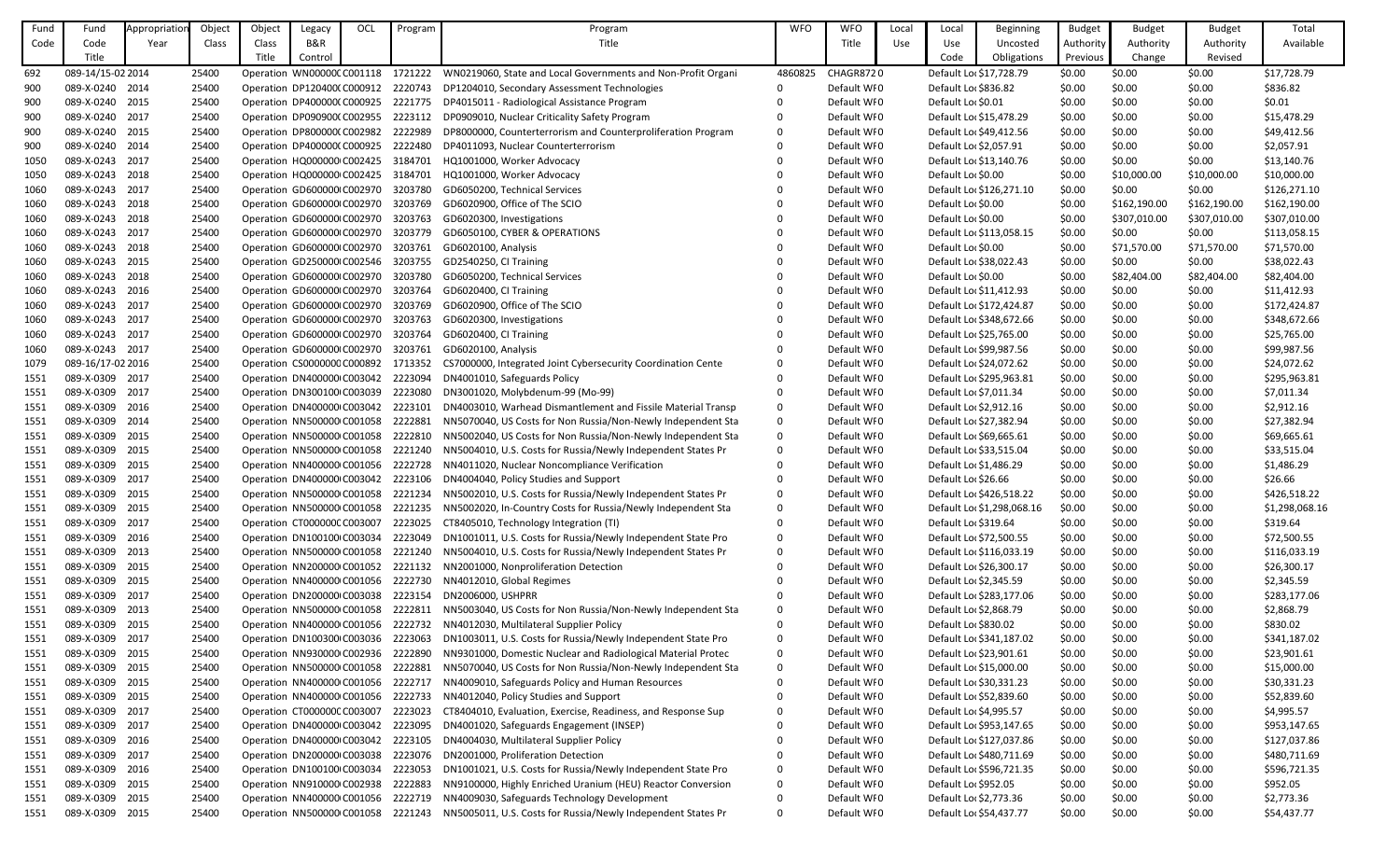| Fund | Fund                     | Appropriation | Object         | Object | Legacy                                                    | OCL | Program            | Program                                                                                               | <b>WFO</b>  | <b>WFO</b>                 | Local | Local                  | <b>Beginning</b>                                    | <b>Budget</b>    | <b>Budget</b> | <b>Budget</b> | Total                      |
|------|--------------------------|---------------|----------------|--------|-----------------------------------------------------------|-----|--------------------|-------------------------------------------------------------------------------------------------------|-------------|----------------------------|-------|------------------------|-----------------------------------------------------|------------------|---------------|---------------|----------------------------|
| Code | Code                     | Year          | Class          | Class  | B&R                                                       |     |                    | Title                                                                                                 |             | Title                      | Use   | Use                    | Uncosted                                            | Authority        | Authority     | Authority     | Available                  |
|      | Title                    |               |                | Title  | Control                                                   |     |                    |                                                                                                       |             |                            |       | Code                   | Obligations                                         | Previous         | Change        | Revised       |                            |
| 692  | 089-14/15-02 2014        |               | 25400          |        | Operation WN00000CC001118                                 |     | 1721222            | WN0219060, State and Local Governments and Non-Profit Organi                                          | 4860825     | CHAGR8720                  |       |                        | Default Loc \$17,728.79                             | \$0.00           | \$0.00        | \$0.00        | \$17,728.79                |
| 900  | 089-X-0240 2014          |               | 25400          |        | Operation DP120400(C000912 2220743                        |     |                    | DP1204010, Secondary Assessment Technologies                                                          |             | Default WI0                |       | Default Loc \$836.82   |                                                     | \$0.00           | \$0.00        | \$0.00        | \$836.82                   |
| 900  | 089-X-0240 2015          |               | 25400          |        | Operation DP400000(C000925                                |     | 2221775            | DP4015011 - Radiological Assistance Program                                                           |             | Default WI0                |       | Default Lor \$0.01     |                                                     | \$0.00           | \$0.00        | \$0.00        | \$0.01                     |
| 900  | 089-X-0240 2017          |               | 25400          |        | Operation DP090900(C002955                                |     | 2223112            | DP0909010, Nuclear Criticality Safety Program                                                         |             | Default WI0                |       |                        | Default Loc \$15,478.29                             | \$0.00           | \$0.00        | \$0.00        | \$15,478.29                |
| 900  | 089-X-0240 2015          |               | 25400          |        | Operation DP800000(C002982                                |     | 2222989            | DP8000000, Counterterrorism and Counterproliferation Program                                          | $\Omega$    | Default WI0                |       |                        | Default Loc \$49,412.56                             | \$0.00           | \$0.00        | \$0.00        | \$49,412.56                |
| 900  | 089-X-0240 2014          |               | 25400          |        | Operation DP400000(C000925                                |     | 2222480            | DP4011093, Nuclear Counterterrorism                                                                   |             | Default WI0                |       | Default Loc \$2,057.91 |                                                     | \$0.00           | \$0.00        | \$0.00        | \$2,057.91                 |
| 1050 | 089-X-0243 2017          |               | 25400          |        | Operation HQ000000 C002425                                |     | 3184701            | HQ1001000, Worker Advocacy                                                                            |             | Default WI0                |       |                        | Default Loc \$13,140.76                             | \$0.00           | \$0.00        | \$0.00        | \$13,140.76                |
| 1050 | 089-X-0243 2018          |               | 25400          |        | Operation HQ000000 C002425                                |     | 3184701            | HQ1001000, Worker Advocacy                                                                            |             | Default WI0                |       | Default Loc \$0.00     |                                                     | \$0.00           | \$10,000.00   | \$10,000.00   | \$10,000.00                |
| 1060 | 089-X-0243 2017          |               | 25400          |        | Operation GD600000 C002970                                |     | 3203780            | GD6050200, Technical Services                                                                         |             | Default WI0                |       |                        | Default Loc \$126,271.10                            | \$0.00           | \$0.00        | \$0.00        | \$126,271.10               |
| 1060 | 089-X-0243 2018          |               | 25400          |        | Operation GD600000 C002970                                |     | 3203769            | GD6020900, Office of The SCIO                                                                         |             | Default WI0                |       | Default Loc \$0.00     |                                                     | \$0.00           | \$162,190.00  | \$162,190.00  | \$162,190.00               |
| 1060 | 089-X-0243 2018          |               | 25400          |        | Operation GD600000 C002970                                |     | 3203763            | GD6020300, Investigations                                                                             |             | Default WI0                |       | Default Loc \$0.00     |                                                     | \$0.00           | \$307,010.00  | \$307,010.00  | \$307,010.00               |
| 1060 | 089-X-0243 2017          |               | 25400          |        | Operation GD600000 C002970                                |     | 3203779            | GD6050100, CYBER & OPERATIONS                                                                         |             | Default WI0                |       |                        | Default Loc \$113,058.15                            | \$0.00           | \$0.00        | \$0.00        | \$113,058.15               |
| 1060 | 089-X-0243 2018          |               | 25400          |        | Operation GD600000 C002970                                |     | 3203761            | GD6020100, Analysis                                                                                   |             | Default WI0                |       | Default Loc \$0.00     |                                                     | \$0.00           | \$71,570.00   | \$71,570.00   | \$71,570.00                |
| 1060 | 089-X-0243 2015          |               | 25400          |        | Operation GD250000 C002546                                |     | 3203755            | GD2540250, CI Training                                                                                |             | Default WI0                |       |                        | Default Loc \$38,022.43                             | \$0.00           | \$0.00        | \$0.00        | \$38,022.43                |
| 1060 | 089-X-0243 2018          |               | 25400          |        | Operation GD600000 C002970                                |     | 3203780            | GD6050200, Technical Services                                                                         |             | Default WI0                |       | Default Loc \$0.00     |                                                     | \$0.00           | \$82,404.00   | \$82,404.00   | \$82,404.00                |
| 1060 | 089-X-0243 2016          |               | 25400          |        | Operation GD600000 C002970                                |     | 3203764            | GD6020400, CI Training                                                                                |             | Default WI0                |       |                        | Default Loc \$11,412.93                             | \$0.00           | \$0.00        | \$0.00        | \$11,412.93                |
| 1060 | 089-X-0243 2017          |               | 25400          |        | Operation GD600000 C002970                                |     | 3203769            | GD6020900, Office of The SCIO                                                                         |             | Default WI0                |       |                        | Default Loc \$172,424.87                            | \$0.00           | \$0.00        | \$0.00        | \$172,424.87               |
| 1060 | 089-X-0243 2017          |               | 25400          |        | Operation GD600000 C002970                                |     | 3203763            | GD6020300, Investigations                                                                             |             | Default WI0                |       |                        | Default Loc \$348,672.66                            | \$0.00           | \$0.00        | \$0.00        | \$348,672.66               |
| 1060 | 089-X-0243 2017          |               | 25400          |        | Operation GD600000 C002970                                |     | 3203764            | GD6020400, CI Training                                                                                |             | Default WI0                |       |                        | Default Loc \$25,765.00                             | \$0.00           | \$0.00        | \$0.00        | \$25,765.00                |
| 1060 | 089-X-0243 2017          |               | 25400          |        | Operation GD600000 C002970                                |     | 3203761            | GD6020100, Analysis                                                                                   |             | Default WI0                |       |                        | Default Loc \$99,987.56                             | \$0.00           | \$0.00        | \$0.00        | \$99,987.56                |
| 1079 | 089-16/17-02 2016        |               | 25400          |        | Operation CS0000000 C000892                               |     | 1713352            | CS7000000, Integrated Joint Cybersecurity Coordination Cente                                          | $\Omega$    | Default WI0                |       |                        | Default Loc \$24,072.62                             | \$0.00           | \$0.00        | \$0.00        | \$24,072.62                |
| 1551 | 089-X-0309 2017          |               | 25400          |        | Operation DN400000 C003042                                |     | 2223094            | DN4001010, Safeguards Policy                                                                          |             | Default WI0                |       |                        | Default Loc \$295,963.81                            | \$0.00           | \$0.00        | \$0.00        | \$295,963.81               |
| 1551 | 089-X-0309 2017          |               | 25400          |        | Operation DN300100 C003039                                |     | 2223080            | DN3001020, Molybdenum-99 (Mo-99)                                                                      |             | Default WI0                |       | Default Loc \$7,011.34 |                                                     | \$0.00           | \$0.00        | \$0.00        | \$7,011.34                 |
| 1551 | 089-X-0309               | 2016          | 25400          |        | Operation DN400000 C003042                                |     | 2223101            | DN4003010, Warhead Dismantlement and Fissile Material Transp                                          | $\Omega$    | Default WI0                |       | Default Loc \$2,912.16 |                                                     | \$0.00           | \$0.00        | \$0.00        | \$2,912.16                 |
| 1551 | 089-X-0309               | 2014          | 25400          |        | Operation NN500000 C001058                                |     | 2222881            | NN5070040, US Costs for Non Russia/Non-Newly Independent Sta                                          | $\mathbf 0$ | Default WI0                |       |                        | Default Loc \$27,382.94                             | \$0.00           | \$0.00        | \$0.00        | \$27,382.94                |
| 1551 | 089-X-0309 2015          |               | 25400          |        | Operation NN500000 C001058                                |     | 2222810            | NN5002040, US Costs for Non Russia/Non-Newly Independent Sta                                          | $\Omega$    | Default WI0                |       |                        | Default Lor \$69,665.61                             | \$0.00           | \$0.00        | \$0.00        | \$69,665.61                |
| 1551 | 089-X-0309 2015          |               | 25400          |        | Operation NN500000 C001058                                |     | 2221240            | NN5004010, U.S. Costs for Russia/Newly Independent States Pr                                          |             | Default WI0                |       |                        | Default Loc \$33,515.04                             | \$0.00           | \$0.00        | \$0.00        | \$33,515.04                |
| 1551 | 089-X-0309               | 2015          | 25400          |        | Operation NN400000 C001056                                |     | 2222728            | NN4011020, Nuclear Noncompliance Verification                                                         |             | Default WI0                |       | Default Loc \$1,486.29 |                                                     | \$0.00           | \$0.00        | \$0.00        | \$1,486.29                 |
| 1551 | 089-X-0309 2017          |               | 25400          |        | Operation DN400000 C003042                                |     | 2223106            | DN4004040, Policy Studies and Support                                                                 | 0           | Default WI0                |       | Default Loc \$26.66    |                                                     | \$0.00           | \$0.00        | \$0.00        | \$26.66                    |
|      | 089-X-0309 2015          |               | 25400          |        |                                                           |     | 2221234            |                                                                                                       |             | Default WI0                |       |                        |                                                     |                  | \$0.00        |               |                            |
| 1551 | 089-X-0309 2015          |               |                |        | Operation NN500000 C001058                                |     |                    | NN5002010, U.S. Costs for Russia/Newly Independent States Pr                                          | 0           | Default WI0                |       |                        | Default Loc \$426,518.22                            | \$0.00           |               | \$0.00        | \$426,518.22               |
| 1551 | 089-X-0309 2017          |               | 25400<br>25400 |        | Operation NN500000 C001058<br>Operation CT000000C C003007 |     | 2221235<br>2223025 | NN5002020, In-Country Costs for Russia/Newly Independent Sta                                          | 0           | Default WI0                |       |                        | Default Loc \$1,298,068.16                          | \$0.00           | \$0.00        | \$0.00        | \$1,298,068.16<br>\$319.64 |
| 1551 | 089-X-0309 2016          |               |                |        |                                                           |     | 2223049            | CT8405010, Technology Integration (TI)                                                                | 0           | Default WI0                |       | Default Loc \$319.64   |                                                     | \$0.00           | \$0.00        | \$0.00        |                            |
| 1551 | 089-X-0309 2013          |               | 25400          |        | Operation DN100100 C003034<br>Operation NN500000 C001058  |     |                    | DN1001011, U.S. Costs for Russia/Newly Independent State Pro                                          | 0           | Default WI0                |       |                        | Default Loc \$72,500.55<br>Default Loc \$116,033.19 | \$0.00           | \$0.00        | \$0.00        | \$72,500.55                |
| 1551 | 089-X-0309               |               | 25400          |        |                                                           |     | 2221240            | NN5004010, U.S. Costs for Russia/Newly Independent States Pr<br>NN2001000, Nonproliferation Detection | 0           |                            |       |                        |                                                     | \$0.00           | \$0.00        | \$0.00        | \$116,033.19               |
| 1551 |                          | 2015          | 25400          |        | Operation NN200000 C001052                                |     | 2221132            |                                                                                                       |             | Default WI0                |       |                        | Default Loc \$26,300.17                             | \$0.00           | \$0.00        | \$0.00        | \$26,300.17                |
| 1551 | 089-X-0309<br>089-X-0309 | 2015<br>2017  | 25400          |        | Operation NN400000 C001056<br>Operation DN200000 C003038  |     | 2222730<br>2223154 | NN4012010, Global Regimes<br>DN2006000, USHPRR                                                        |             | Default WI0<br>Default WI0 |       | Default Loc \$2,345.59 | Default Loc \$283,177.06                            | \$0.00<br>\$0.00 | \$0.00        | \$0.00        | \$2,345.59<br>\$283,177.06 |
| 1551 |                          |               | 25400          |        |                                                           |     |                    |                                                                                                       |             |                            |       |                        |                                                     |                  | \$0.00        | \$0.00        |                            |
| 1551 | 089-X-0309 2013          |               | 25400          |        | Operation NN500000 C001058                                |     | 2222811            | NN5003040, US Costs for Non Russia/Non-Newly Independent Sta                                          | 0           | Default WI0<br>Default WI0 |       | Default Loc \$2,868.79 |                                                     | \$0.00           | \$0.00        | \$0.00        | \$2,868.79                 |
| 1551 | 089-X-0309 2015          |               | 25400          |        | Operation NN400000 C001056                                |     | 2222732            | NN4012030, Multilateral Supplier Policy                                                               |             |                            |       | Default Loc \$830.02   |                                                     | \$0.00           | \$0.00        | \$0.00        | \$830.02                   |
| 1551 | 089-X-0309 2017          |               | 25400          |        | Operation DN100300 C003036                                |     | 2223063            | DN1003011, U.S. Costs for Russia/Newly Independent State Pro                                          | 0           | Default WI0                |       |                        | Default Loc \$341,187.02                            | \$0.00           | \$0.00        | \$0.00        | \$341,187.02               |
| 1551 | 089-X-0309 2015          |               | 25400          |        | Operation NN930000 C002936                                |     | 2222890            | NN9301000, Domestic Nuclear and Radiological Material Protec                                          | 0           | Default WI0                |       |                        | Default Loc \$23,901.61                             | \$0.00           | \$0.00        | \$0.00        | \$23,901.61                |
| 1551 | 089-X-0309 2015          |               | 25400          |        | Operation NN500000 C001058                                |     | 2222881            | NN5070040, US Costs for Non Russia/Non-Newly Independent Sta                                          | 0           | Default WI0                |       |                        | Default Lor \$15,000.00                             | \$0.00           | \$0.00        | \$0.00        | \$15,000.00                |
| 1551 | 089-X-0309 2015          |               | 25400          |        | Operation NN400000 C001056                                |     | 2222717            | NN4009010, Safeguards Policy and Human Resources                                                      | 0           | Default WI0                |       |                        | Default Loc \$30,331.23                             | \$0.00           | \$0.00        | \$0.00        | \$30,331.23                |
| 1551 | 089-X-0309 2015          |               | 25400          |        | Operation NN400000 C001056                                |     | 2222733            | NN4012040, Policy Studies and Support                                                                 |             | Default WI0                |       |                        | Default Lor \$52,839.60                             | \$0.00           | \$0.00        | \$0.00        | \$52,839.60                |
| 1551 | 089-X-0309 2017          |               | 25400          |        | Operation CT000000C C003007                               |     | 2223023            | CT8404010, Evaluation, Exercise, Readiness, and Response Sup                                          | 0           | Default WI0                |       | Default Loc \$4,995.57 |                                                     | \$0.00           | \$0.00        | \$0.00        | \$4,995.57                 |
| 1551 | 089-X-0309 2017          |               | 25400          |        | Operation DN400000 C003042                                |     | 2223095            | DN4001020, Safeguards Engagement (INSEP)                                                              |             | Default WI0                |       |                        | Default Loc \$953,147.65                            | \$0.00           | \$0.00        | \$0.00        | \$953,147.65               |
| 1551 | 089-X-0309 2016          |               | 25400          |        | Operation DN400000 C003042                                |     | 2223105            | DN4004030, Multilateral Supplier Policy                                                               |             | Default WI0                |       |                        | Default Loc \$127,037.86                            | \$0.00           | \$0.00        | \$0.00        | \$127,037.86               |
| 1551 | 089-X-0309 2017          |               | 25400          |        | Operation DN200000 C003038                                |     | 2223076            | DN2001000, Proliferation Detection                                                                    |             | Default WI0                |       |                        | Default Loc \$480,711.69                            | \$0.00           | \$0.00        | \$0.00        | \$480,711.69               |
| 1551 | 089-X-0309               | 2016          | 25400          |        | Operation DN100100 C003034                                |     | 2223053            | DN1001021, U.S. Costs for Russia/Newly Independent State Pro                                          | 0           | Default WI0                |       |                        | Default Loc \$596,721.35                            | \$0.00           | \$0.00        | \$0.00        | \$596,721.35               |
| 1551 | 089-X-0309 2015          |               | 25400          |        | Operation NN910000 C002938                                |     | 2222883            | NN9100000, Highly Enriched Uranium (HEU) Reactor Conversion                                           | 0           | Default WI0                |       | Default Loc \$952.05   |                                                     | \$0.00           | \$0.00        | \$0.00        | \$952.05                   |
| 1551 | 089-X-0309 2015          |               | 25400          |        | Operation NN400000 C001056                                |     | 2222719            | NN4009030, Safeguards Technology Development                                                          | 0           | Default WI0                |       | Default Loc \$2,773.36 |                                                     | \$0.00           | \$0.00        | \$0.00        | \$2,773.36                 |
| 1551 | 089-X-0309 2015          |               | 25400          |        | Operation NN500000 C001058                                |     | 2221243            | NN5005011, U.S. Costs for Russia/Newly Independent States Pr                                          | 0           | Default WI0                |       |                        | Default Loc \$54,437.77                             | \$0.00           | \$0.00        | \$0.00        | \$54,437.77                |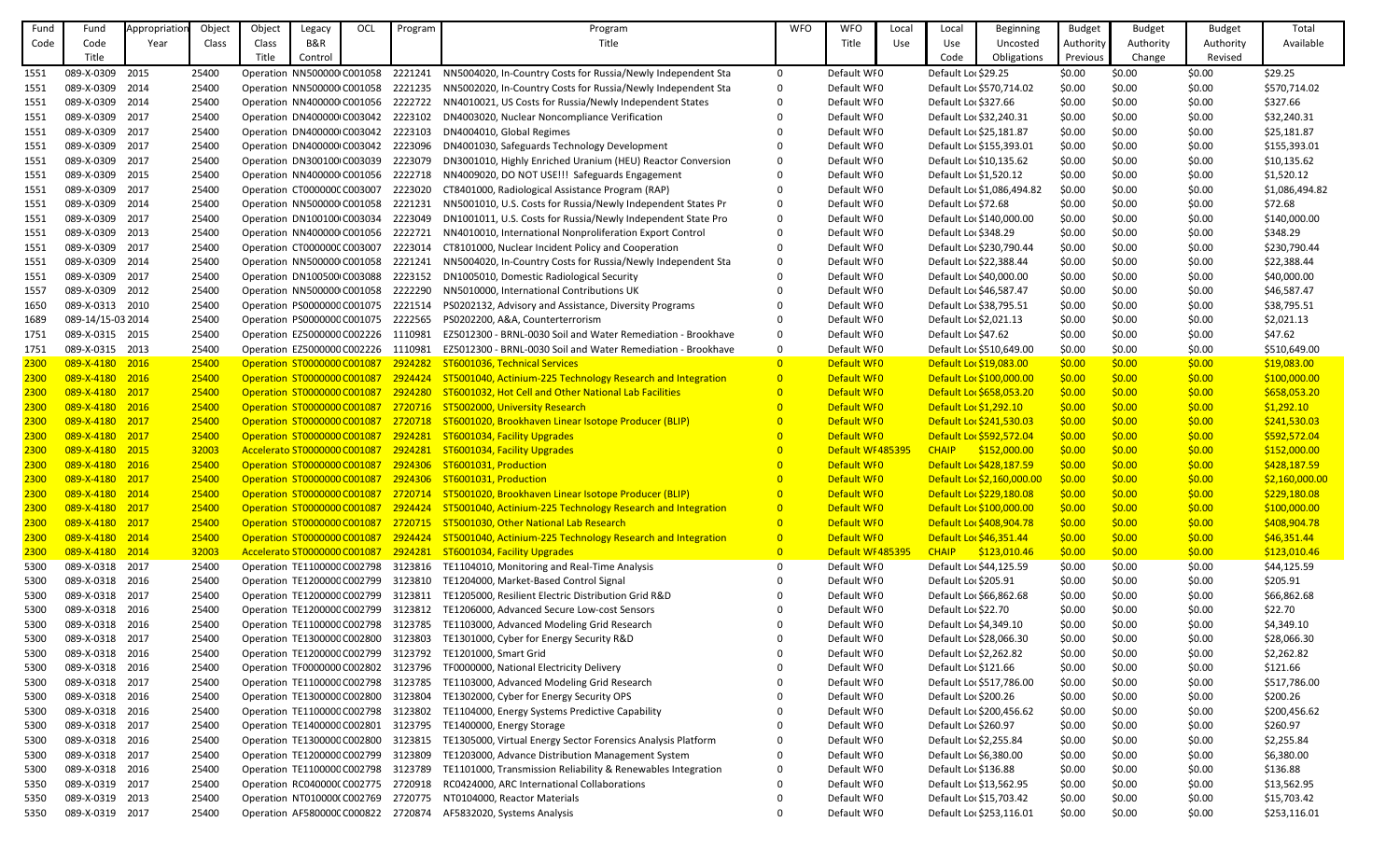| Fund | Fund              | Appropriatio | Object | Object                              | Legacy  | OCL | Program              | Program                                                                                  | <b>WFO</b>     | <b>WFO</b>        | Local | Local                   | Beginning                  | <b>Budget</b> | <b>Budget</b> | <b>Budget</b> | Total          |
|------|-------------------|--------------|--------|-------------------------------------|---------|-----|----------------------|------------------------------------------------------------------------------------------|----------------|-------------------|-------|-------------------------|----------------------------|---------------|---------------|---------------|----------------|
| Code | Code              | Year         | Class  | Class                               | B&R     |     |                      | Title                                                                                    |                | Title             | Use   | Use                     | Uncosted                   | Authority     | Authority     | Authority     | Available      |
|      | Title             |              |        | Title                               | Control |     |                      |                                                                                          |                |                   |       | Code                    | Obligations                | Previous      | Change        | Revised       |                |
| 1551 | 089-X-0309 2015   |              | 25400  | Operation NN500000 C001058          |         |     | 2221241              | NN5004020, In-Country Costs for Russia/Newly Independent Sta                             | $\Omega$       | Default WI0       |       | Default Lor \$29.25     |                            | \$0.00        | \$0.00        | \$0.00        | \$29.25        |
| 1551 | 089-X-0309 2014   |              | 25400  | Operation NN500000 C001058          |         |     | 2221235              | NN5002020, In-Country Costs for Russia/Newly Independent Sta                             | 0              | Default WI0       |       |                         | Default Lor \$570,714.02   | \$0.00        | \$0.00        | \$0.00        | \$570,714.02   |
| 1551 | 089-X-0309 2014   |              | 25400  | Operation NN400000 C001056          |         |     | 2222722              | NN4010021, US Costs for Russia/Newly Independent States                                  |                | Default WI0       |       | Default Loc \$327.66    |                            | \$0.00        | \$0.00        | \$0.00        | \$327.66       |
| 1551 | 089-X-0309 2017   |              | 25400  | Operation DN400000 C003042          |         |     | 2223102              | DN4003020, Nuclear Noncompliance Verification                                            |                | Default WI0       |       | Default Loc \$32,240.31 |                            | \$0.00        | \$0.00        | \$0.00        | \$32,240.31    |
| 1551 | 089-X-0309 2017   |              | 25400  | Operation DN400000 C003042          |         |     | 2223103              | DN4004010, Global Regimes                                                                |                | Default WI0       |       | Default Loc \$25,181.87 |                            | \$0.00        | \$0.00        | \$0.00        | \$25,181.87    |
|      | 089-X-0309 2017   |              |        |                                     |         |     |                      |                                                                                          |                |                   |       |                         | Default Loc \$155,393.01   |               |               |               |                |
| 1551 |                   |              | 25400  | Operation DN400000 C003042 2223096  |         |     |                      | DN4001030, Safeguards Technology Development                                             |                | Default WI0       |       |                         |                            | \$0.00        | \$0.00        | \$0.00        | \$155,393.01   |
| 1551 | 089-X-0309 2017   |              | 25400  | Operation DN300100 C003039          |         |     | 2223079              | DN3001010, Highly Enriched Uranium (HEU) Reactor Conversion                              |                | Default WI0       |       | Default Loc \$10,135.62 |                            | \$0.00        | \$0.00        | \$0.00        | \$10,135.62    |
| 1551 | 089-X-0309 2015   |              | 25400  | Operation NN400000 C001056          |         |     | 2222718              | NN4009020, DO NOT USE!!! Safeguards Engagement                                           |                | Default WI0       |       | Default Lor \$1,520.12  |                            | \$0.00        | \$0.00        | \$0.00        | \$1,520.12     |
| 1551 | 089-X-0309 2017   |              | 25400  | Operation CT000000C C003007         |         |     | 2223020              | CT8401000, Radiological Assistance Program (RAP)                                         |                | Default WI0       |       |                         | Default Loc \$1,086,494.82 | \$0.00        | \$0.00        | \$0.00        | \$1,086,494.82 |
| 1551 | 089-X-0309 2014   |              | 25400  | Operation NN500000 C001058          |         |     | 2221231              | NN5001010, U.S. Costs for Russia/Newly Independent States Pr                             |                | Default WI0       |       | Default Loc \$72.68     |                            | \$0.00        | \$0.00        | \$0.00        | \$72.68        |
| 1551 | 089-X-0309 2017   |              | 25400  | Operation DN100100 C003034          |         |     | 2223049              | DN1001011, U.S. Costs for Russia/Newly Independent State Pro                             | 0              | Default WI0       |       |                         | Default Loc \$140,000.00   | \$0.00        | \$0.00        | \$0.00        | \$140,000.00   |
| 1551 | 089-X-0309 2013   |              | 25400  | Operation NN400000 C001056          |         |     | 2222721              | NN4010010, International Nonproliferation Export Control                                 |                | Default WI0       |       | Default Loc \$348.29    |                            | \$0.00        | \$0.00        | \$0.00        | \$348.29       |
| 1551 | 089-X-0309 2017   |              | 25400  | Operation CT000000C C003007         |         |     | 2223014              | CT8101000, Nuclear Incident Policy and Cooperation                                       |                | Default WI0       |       |                         | Default Loc \$230,790.44   | \$0.00        | \$0.00        | \$0.00        | \$230,790.44   |
| 1551 | 089-X-0309 2014   |              | 25400  | Operation NN500000 C001058          |         |     | 2221241              | NN5004020, In-Country Costs for Russia/Newly Independent Sta                             |                | Default WI0       |       | Default Loc \$22,388.44 |                            | \$0.00        | \$0.00        | \$0.00        | \$22,388.44    |
| 1551 | 089-X-0309 2017   |              | 25400  | Operation DN100500 C003088          |         |     | 2223152              | DN1005010, Domestic Radiological Security                                                |                | Default WI0       |       | Default Lor \$40,000.00 |                            | \$0.00        | \$0.00        | \$0.00        | \$40,000.00    |
| 1557 | 089-X-0309 2012   |              | 25400  | Operation NN500000 C001058          |         |     | 2222290              | NN5010000, International Contributions UK                                                |                | Default WI0       |       | Default Loc \$46,587.47 |                            | \$0.00        | \$0.00        | \$0.00        | \$46,587.47    |
| 1650 | 089-X-0313 2010   |              | 25400  | Operation PS0000000 C001075         |         |     | 2221514              | PS0202132, Advisory and Assistance, Diversity Programs                                   |                | Default WI0       |       | Default Loc \$38,795.51 |                            | \$0.00        | \$0.00        | \$0.00        | \$38,795.51    |
| 1689 | 089-14/15-03 2014 |              | 25400  | Operation PS0000000 C001075         |         |     | 2222565              | PS0202200, A&A, Counterterrorism                                                         |                | Default WI0       |       | Default Loc \$2,021.13  |                            | \$0.00        | \$0.00        | \$0.00        | \$2,021.13     |
| 1751 | 089-X-0315 2015   |              | 25400  | Operation EZ5000000 C002226         |         |     | 1110981              | EZ5012300 - BRNL-0030 Soil and Water Remediation - Brookhave                             | $\mathbf{0}$   | Default WI0       |       | Default Loc \$47.62     |                            | \$0.00        | \$0.00        | \$0.00        | \$47.62        |
| 1751 | 089-X-0315 2013   |              | 25400  | Operation EZ5000000 C002226         |         |     | 1110981              | EZ5012300 - BRNL-0030 Soil and Water Remediation - Brookhave                             | 0              | Default WI0       |       |                         | Default Lor \$510,649.00   | \$0.00        | \$0.00        | \$0.00        | \$510,649.00   |
| 2300 | 089-X-4180 2016   |              | 25400  | <b>Operation ST0000000 C001087</b>  |         |     | 2924282              | ST6001036, Technical Services                                                            | $\overline{0}$ | Default WIO       |       | Default Loc \$19,083.00 |                            | \$0.00        | \$0.00        | \$0.00        | \$19,083.00    |
| 2300 | 089-X-4180 2016   |              | 25400  | Operation ST0000000 C001087         |         |     | 2924424              | ST5001040, Actinium-225 Technology Research and Integration                              | $\overline{0}$ | Default WIO       |       |                         | Default Lor \$100,000.00   | \$0.00        | \$0.00        | \$0.00        | \$100,000.00   |
| 2300 | 089-X-4180 2017   |              | 25400  | <b>Operation ST0000000 C001087</b>  |         |     | 2924280              | ST6001032, Hot Cell and Other National Lab Facilities                                    | $\overline{0}$ | Default WIO       |       |                         | Default Lor \$658,053.20   | \$0.00        | \$0.00        | \$0.00        | \$658,053.20   |
| 2300 | 089-X-4180 2016   |              | 25400  | Operation ST0000000 C001087         |         |     | <mark>2720716</mark> | <b>ST5002000, University Research</b>                                                    | $\overline{0}$ | Default WIO       |       | Default Lor \$1,292.10  |                            | \$0.00        | \$0.00        | \$0.00        | \$1,292.10     |
| 2300 | 089-X-4180 2017   |              | 25400  | Operation ST0000000 C001087         |         |     | 2720718              | ST6001020, Brookhaven Linear Isotope Producer (BLIP)                                     | $\overline{0}$ | Default WIO       |       |                         | Default Lor \$241,530.03   | \$0.00        | \$0.00        | \$0.00        | \$241,530.03   |
| 2300 | 089-X-4180 2017   |              | 25400  | Operation ST0000000 C001087         |         |     | 2924281              | ST6001034, Facility Upgrades                                                             | $\overline{0}$ | Default WIO       |       |                         | Default Lor \$592,572.04   | \$0.00        | \$0.00        | \$0.00        | \$592,572.04   |
| 2300 | 089-X-4180 2015   |              | 32003  | Accelerato ST0000000 C001087        |         |     | 2924281              | ST6001034, Facility Upgrades                                                             |                | Default WI 485395 |       | <b>CHAIP</b>            | \$152,000.00               | \$0.00        | \$0.00        | \$0.00        | \$152,000.00   |
| 2300 | 089-X-4180 2016   |              | 25400  |                                     |         |     |                      | Operation ST0000000 C001087 2924306 ST6001031, Production                                |                | Default WIO       |       |                         | Default Lor \$428,187.59   | \$0.00        | \$0.00        | \$0.00        | \$428,187.59   |
| 2300 | 089-X-4180 2017   |              | 25400  |                                     |         |     |                      | Operation ST0000000 C001087 2924306 ST6001031, Production                                | $\overline{0}$ | Default WIO       |       |                         | Default Lor \$2,160,000.00 | \$0.00        | \$0.00        | \$0.00        | \$2,160,000.00 |
| 2300 | 089-X-4180 2014   |              | 25400  |                                     |         |     |                      | Operation ST0000000 C001087 2720714 ST5001020, Brookhaven Linear Isotope Producer (BLIP) | $\overline{0}$ | Default WIO       |       |                         | Default Lor \$229,180.08   | \$0.00        | \$0.00        | \$0.00        | \$229,180.08   |
| 2300 | 089-X-4180 2017   |              | 25400  | <b>Operation ST0000000 C001087</b>  |         |     |                      | 2924424 ST5001040, Actinium-225 Technology Research and Integration                      | $\overline{0}$ | Default WIO       |       |                         | Default Lor \$100,000.00   | \$0.00        | \$0.00        | \$0.00        | \$100,000.00   |
| 2300 | 089-X-4180 2017   |              | 25400  | Operation ST0000000 C001087         |         |     |                      | 2720715 ST5001030, Other National Lab Research                                           | $\overline{0}$ | Default WIO       |       |                         | Default Lor \$408,904.78   | \$0.00        | \$0.00        | \$0.00        | \$408,904.78   |
| 2300 | 089-X-4180 2014   |              | 25400  | Operation ST0000000 C001087         |         |     | 2924424              | ST5001040, Actinium-225 Technology Research and Integration                              | $\overline{0}$ | Default WIO       |       | Default Lor \$46,351.44 |                            | \$0.00        | \$0.00        | \$0.00        | \$46,351.44    |
| 2300 | 089-X-4180 2014   |              | 32003  | Accelerato ST0000000 C001087        |         |     | 2924281              | ST6001034, Facility Upgrades                                                             | $\overline{0}$ | Default WI 485395 |       | <b>CHAIP</b>            | \$123,010.46               | \$0.00        | \$0.00        | \$0.00        | \$123,010.46   |
| 5300 | 089-X-0318 2017   |              | 25400  | Operation TE1100000 C002798         |         |     | 3123816              | TE1104010, Monitoring and Real-Time Analysis                                             |                | Default WI0       |       | Default Loc \$44,125.59 |                            | \$0.00        | \$0.00        | \$0.00        | \$44,125.59    |
| 5300 | 089-X-0318 2016   |              | 25400  | Operation TE1200000 C002799         |         |     | 3123810              | TE1204000, Market-Based Control Signal                                                   |                | Default WI0       |       | Default Loc \$205.91    |                            | \$0.00        | \$0.00        | \$0.00        | \$205.91       |
| 5300 | 089-X-0318 2017   |              | 25400  | Operation TE1200000 C002799         |         |     | 3123811              | TE1205000, Resilient Electric Distribution Grid R&D                                      |                | Default WI0       |       | Default Loc \$66,862.68 |                            | \$0.00        | \$0.00        | \$0.00        | \$66,862.68    |
| 5300 | 089-X-0318 2016   |              | 25400  | Operation TE1200000 C002799         |         |     | 3123812              | TE1206000, Advanced Secure Low-cost Sensors                                              |                | Default WI0       |       | Default Loc \$22.70     |                            | \$0.00        | \$0.00        | \$0.00        | \$22.70        |
| 5300 | 089-X-0318 2016   |              | 25400  | Operation TE1100000 C002798         |         |     | 3123785              | TE1103000, Advanced Modeling Grid Research                                               |                | Default WI0       |       | Default Lor \$4,349.10  |                            | \$0.00        | \$0.00        | \$0.00        | \$4,349.10     |
| 5300 | 089-X-0318 2017   |              | 25400  | Operation TE1300000 C002800         |         |     | 3123803              | TE1301000, Cyber for Energy Security R&D                                                 |                | Default WI0       |       | Default Loc \$28,066.30 |                            | \$0.00        | \$0.00        | \$0.00        | \$28,066.30    |
| 5300 | 089-X-0318 2016   |              | 25400  | Operation TE1200000 C002799         |         |     | 3123792              | TE1201000, Smart Grid                                                                    |                | Default WI0       |       | Default Loc \$2,262.82  |                            | \$0.00        | \$0.00        | \$0.00        | \$2,262.82     |
|      | 089-X-0318 2016   |              |        | Operation TF0000000 C002802 3123796 |         |     |                      |                                                                                          |                | Default WI0       |       | Default Loc \$121.66    |                            | \$0.00        |               |               | \$121.66       |
| 5300 | 089-X-0318 2017   |              | 25400  |                                     |         |     | 3123785              | TF0000000, National Electricity Delivery                                                 |                |                   |       |                         |                            |               | \$0.00        | \$0.00        |                |
| 5300 |                   |              | 25400  | Operation TE1100000 C002798         |         |     |                      | TE1103000, Advanced Modeling Grid Research                                               |                | Default WI0       |       |                         | Default Loc \$517,786.00   | \$0.00        | \$0.00        | \$0.00        | \$517,786.00   |
| 5300 | 089-X-0318 2016   |              | 25400  | Operation TE1300000 C002800         |         |     | 3123804              | TE1302000, Cyber for Energy Security OPS                                                 |                | Default WI0       |       | Default Loc \$200.26    |                            | \$0.00        | \$0.00        | \$0.00        | \$200.26       |
| 5300 | 089-X-0318 2016   |              | 25400  | Operation TE1100000 C002798         |         |     | 3123802              | TE1104000, Energy Systems Predictive Capability                                          |                | Default WI0       |       |                         | Default Lor \$200,456.62   | \$0.00        | \$0.00        | \$0.00        | \$200,456.62   |
| 5300 | 089-X-0318 2017   |              | 25400  | Operation TE1400000 C002801         |         |     | 3123795              | TE1400000, Energy Storage                                                                |                | Default WI0       |       | Default Loc \$260.97    |                            | \$0.00        | \$0.00        | \$0.00        | \$260.97       |
| 5300 | 089-X-0318 2016   |              | 25400  | Operation TE1300000 C002800         |         |     | 3123815              | TE1305000, Virtual Energy Sector Forensics Analysis Platform                             |                | Default WI0       |       | Default Loc \$2,255.84  |                            | \$0.00        | \$0.00        | \$0.00        | \$2,255.84     |
| 5300 | 089-X-0318 2017   |              | 25400  | Operation TE1200000 C002799         |         |     | 3123809              | TE1203000, Advance Distribution Management System                                        |                | Default WI0       |       | Default Lor \$6,380.00  |                            | \$0.00        | \$0.00        | \$0.00        | \$6,380.00     |
| 5300 | 089-X-0318 2016   |              | 25400  | Operation TE1100000 C002798         |         |     | 3123789              | TE1101000, Transmission Reliability & Renewables Integration                             |                | Default WI0       |       | Default Loc \$136.88    |                            | \$0.00        | \$0.00        | \$0.00        | \$136.88       |
| 5350 | 089-X-0319 2017   |              | 25400  | Operation RC0400000 C002775         |         |     | 2720918              | RC0424000, ARC International Collaborations                                              |                | Default WI0       |       | Default Loc \$13,562.95 |                            | \$0.00        | \$0.00        | \$0.00        | \$13,562.95    |
| 5350 | 089-X-0319 2013   |              | 25400  | Operation NT010000(C002769          |         |     | 2720775              | NT0104000, Reactor Materials                                                             |                | Default WI0       |       | Default Loc \$15,703.42 |                            | \$0.00        | \$0.00        | \$0.00        | \$15,703.42    |
| 5350 | 089-X-0319 2017   |              | 25400  | Operation AF580000C C000822 2720874 |         |     |                      | AF5832020, Systems Analysis                                                              |                | Default WI0       |       |                         | Default Lor \$253,116.01   | \$0.00        | \$0.00        | \$0.00        | \$253,116.01   |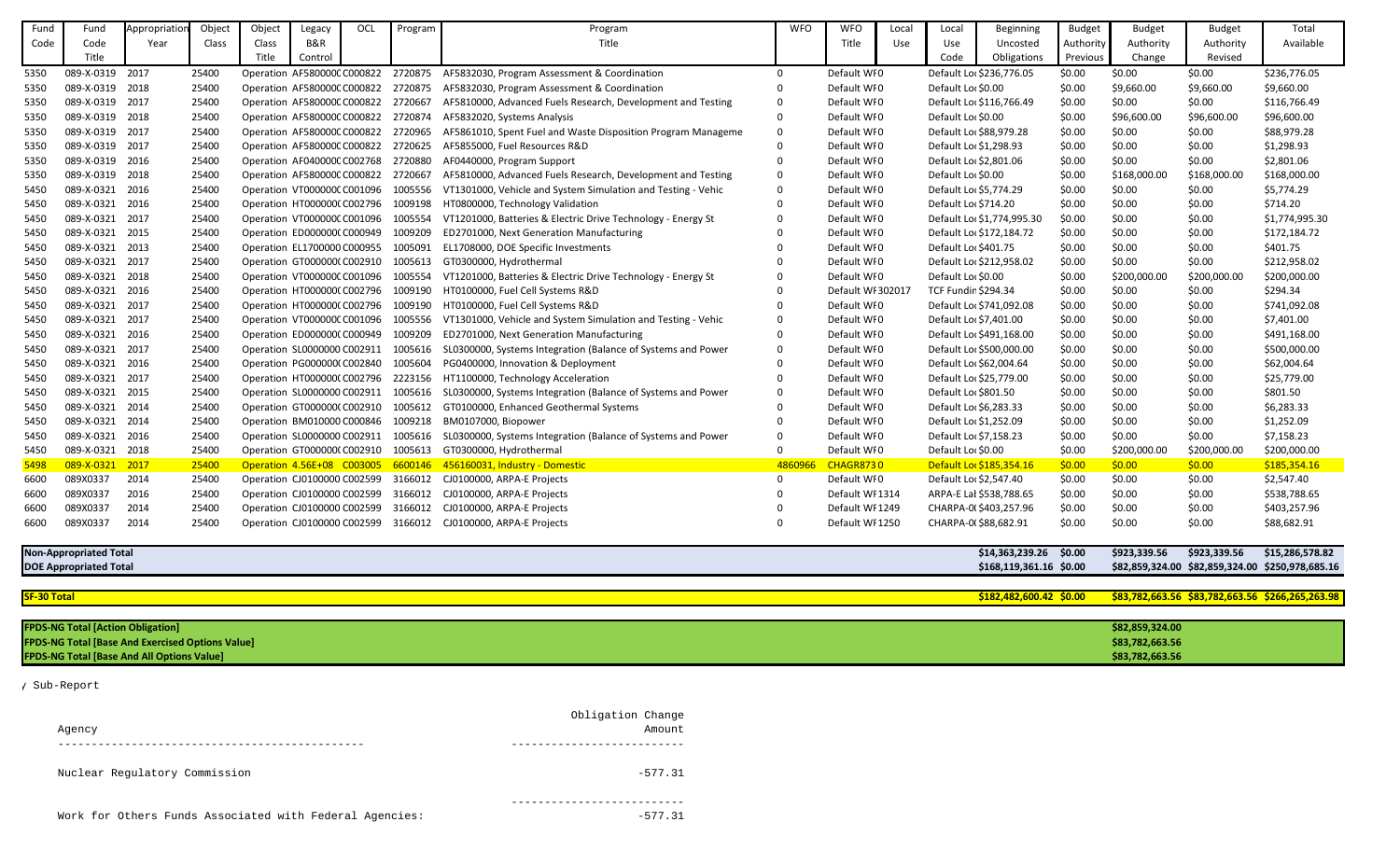| Fund               | Fund                                     | Appropriatio                                            | Object | Object | Legacy                             | OCI | Program | Program                                                           | <b>WFO</b> | <b>WFO</b>        | Local | Local                      | Beginning                  | <b>Budget</b> | <b>Budget</b>   | <b>Budget</b> | Total                                            |
|--------------------|------------------------------------------|---------------------------------------------------------|--------|--------|------------------------------------|-----|---------|-------------------------------------------------------------------|------------|-------------------|-------|----------------------------|----------------------------|---------------|-----------------|---------------|--------------------------------------------------|
| Code               | Code                                     | Year                                                    | Class  | Class  | B&R                                |     |         | Title                                                             |            | Title             | Use   | Use                        | Uncosted                   | Authority     | Authority       | Authority     | Available                                        |
|                    | Title                                    |                                                         |        | Title  | Control                            |     |         |                                                                   |            |                   |       | Code                       | Obligations                | Previous      | Change          | Revised       |                                                  |
| 5350               | 089-X-0319 2017                          |                                                         | 25400  |        | Operation AF580000CC000822         |     | 2720875 | AF5832030, Program Assessment & Coordination                      | $\Omega$   | Default WI0       |       |                            | Default Loc \$236,776.05   | \$0.00        | \$0.00          | \$0.00        | \$236,776.05                                     |
| 5350               | 089-X-0319 2018                          |                                                         | 25400  |        | Operation AF580000CC000822 2720875 |     |         | AF5832030, Program Assessment & Coordination                      |            | Default WI0       |       | Default Lor \$0.00         |                            | \$0.00        | \$9,660.00      | \$9,660.00    | \$9,660.00                                       |
| 5350               | 089-X-0319 2017                          |                                                         | 25400  |        | Operation AF580000CC000822         |     | 2720667 | AF5810000, Advanced Fuels Research, Development and Testing       | $\Omega$   | Default WI0       |       |                            | Default Loc \$116,766.49   | \$0.00        | \$0.00          | \$0.00        | \$116,766.49                                     |
| 5350               | 089-X-0319 2018                          |                                                         | 25400  |        | Operation AF580000C C000822        |     | 2720874 | AF5832020, Systems Analysis                                       |            | Default WI0       |       | Default Loc \$0.00         |                            | \$0.00        | \$96,600.00     | \$96,600.00   | \$96,600.00                                      |
| 5350               | 089-X-0319 2017                          |                                                         | 25400  |        | Operation AF580000C C000822        |     | 2720965 | AF5861010, Spent Fuel and Waste Disposition Program Manageme      | $\Omega$   | Default WI0       |       |                            | Default Loc \$88,979.28    | \$0.00        | \$0.00          | \$0.00        | \$88,979.28                                      |
| 5350               | 089-X-0319 2017                          |                                                         | 25400  |        | Operation AF580000C C000822        |     | 2720625 | AF5855000, Fuel Resources R&D                                     |            | Default WI0       |       | Default Loc \$1,298.93     |                            | \$0.00        | \$0.00          | \$0.00        | \$1,298.93                                       |
| 5350               | 089-X-0319 2016                          |                                                         | 25400  |        | Operation AF040000C C002768        |     | 2720880 | AF0440000, Program Support                                        |            | Default WI0       |       | Default Lor \$2,801.06     |                            | \$0.00        | \$0.00          | \$0.00        | \$2,801.06                                       |
| 5350               | 089-X-0319 2018                          |                                                         | 25400  |        | Operation AF580000C C000822        |     | 2720667 | AF5810000, Advanced Fuels Research, Development and Testing       | 0          | Default WI0       |       | Default Loc \$0.00         |                            | \$0.00        | \$168,000.00    | \$168,000.00  | \$168,000.00                                     |
| 5450               | 089-X-0321 2016                          |                                                         | 25400  |        | Operation VT000000C C001096        |     | 1005556 | VT1301000, Vehicle and System Simulation and Testing - Vehic      | $\Omega$   | Default WI0       |       | Default Loc \$5,774.29     |                            | \$0.00        | \$0.00          | \$0.00        | \$5,774.29                                       |
| 5450               | 089-X-0321 2016                          |                                                         | 25400  |        | Operation HT0000000 C002796        |     | 1009198 | HT0800000, Technology Validation                                  | $\Omega$   | Default WI0       |       | Default Loc \$714.20       |                            | \$0.00        | \$0.00          | \$0.00        | \$714.20                                         |
| 5450               | 089-X-0321 2017                          |                                                         | 25400  |        | Operation VT000000CC001096         |     | 1005554 | VT1201000, Batteries & Electric Drive Technology - Energy St      |            | Default WI0       |       |                            | Default Loc \$1,774,995.30 | \$0.00        | \$0.00          | \$0.00        | \$1,774,995.30                                   |
| 5450               | 089-X-0321 2015                          |                                                         | 25400  |        | Operation ED0000000 C000949        |     | 1009209 | ED2701000, Next Generation Manufacturing                          |            | Default WI0       |       |                            | Default Loc \$172,184.72   | \$0.00        | \$0.00          | \$0.00        | \$172,184.72                                     |
| 5450               | 089-X-0321                               | 2013                                                    | 25400  |        | Operation EL1700000 C000955        |     | 1005091 | EL1708000, DOE Specific Investments                               |            | Default WI0       |       | Default Loc \$401.75       |                            | \$0.00        | \$0.00          | \$0.00        | \$401.75                                         |
| 5450               | 089-X-0321 2017                          |                                                         | 25400  |        | Operation GT000000(C002910         |     | 1005613 | GT0300000, Hydrothermal                                           |            | Default WI0       |       |                            | Default Loc \$212,958.02   | \$0.00        | \$0.00          | \$0.00        | \$212,958.02                                     |
| 5450               | 089-X-0321 2018                          |                                                         | 25400  |        | Operation VT000000C C001096        |     | 1005554 | VT1201000, Batteries & Electric Drive Technology - Energy St      |            | Default WI0       |       | Default Loc \$0.00         |                            | \$0.00        | \$200,000.00    | \$200,000.00  | \$200,000.00                                     |
| 5450               | 089-X-0321 2016                          |                                                         | 25400  |        | Operation HT0000000 C002796        |     | 1009190 | HT0100000, Fuel Cell Systems R&D                                  |            | Default WI 302017 |       | <b>TCF Fundin \$294.34</b> |                            | \$0.00        | \$0.00          | \$0.00        | \$294.34                                         |
| 5450               | 089-X-0321 2017                          |                                                         | 25400  |        | Operation HT0000000 C002796        |     | 1009190 | HT0100000, Fuel Cell Systems R&D                                  |            | Default WI0       |       |                            | Default Loc \$741,092.08   | \$0.00        | \$0.00          | \$0.00        | \$741,092.08                                     |
| 5450               | 089-X-0321                               | 2017                                                    | 25400  |        | Operation VT000000C C001096        |     | 1005556 | VT1301000, Vehicle and System Simulation and Testing - Vehic      |            | Default WI0       |       | Default Loc \$7,401.00     |                            | \$0.00        | \$0.00          | \$0.00        | \$7,401.00                                       |
| 5450               | 089-X-0321 2016                          |                                                         | 25400  |        | Operation ED000000(C000949         |     | 1009209 | ED2701000, Next Generation Manufacturing                          | $\Omega$   | Default WI0       |       |                            | Default Lor \$491,168.00   | \$0.00        | \$0.00          | \$0.00        | \$491,168.00                                     |
| 5450               | 089-X-0321 2017                          |                                                         | 25400  |        | Operation SL0000000 C002911        |     | 1005616 | SL0300000, Systems Integration (Balance of Systems and Power      | $\Omega$   | Default WI0       |       |                            | Default Lor \$500,000.00   | \$0.00        | \$0.00          | \$0.00        | \$500,000.00                                     |
| 5450               | 089-X-0321 2016                          |                                                         | 25400  |        | Operation PG000000(C002840         |     | 1005604 | PG0400000, Innovation & Deployment                                | $\Omega$   | Default WI0       |       |                            | Default Loc \$62,004.64    | \$0.00        | \$0.00          | \$0.00        | \$62,004.64                                      |
| 5450               | 089-X-0321 2017                          |                                                         | 25400  |        | Operation HT0000000 C002796        |     | 2223156 | HT1100000, Technology Acceleration                                |            | Default WI0       |       |                            | Default Loc \$25,779.00    | \$0.00        | \$0.00          | \$0.00        | \$25,779.00                                      |
| 5450               | 089-X-0321 2015                          |                                                         | 25400  |        | Operation SL0000000 C002911        |     | 1005616 | SL0300000, Systems Integration (Balance of Systems and Power      | $\Omega$   | Default WI0       |       | Default Loc \$801.50       |                            | \$0.00        | \$0.00          | \$0.00        | \$801.50                                         |
| 5450               | 089-X-0321 2014                          |                                                         | 25400  |        | Operation GT000000(C002910         |     | 1005612 | GT0100000, Enhanced Geothermal Systems                            |            | Default WI0       |       | Default Loc \$6,283.33     |                            | \$0.00        | \$0.00          | \$0.00        | \$6,283.33                                       |
| 5450               | 089-X-0321                               | 2014                                                    | 25400  |        | Operation BM010000 C000846         |     | 1009218 | BM0107000, Biopower                                               |            | Default WI0       |       | Default Loc \$1,252.09     |                            | \$0.00        | \$0.00          | \$0.00        | \$1,252.09                                       |
| 5450               | 089-X-0321 2016                          |                                                         | 25400  |        | Operation SL0000000 C002911        |     | 1005616 | SL0300000, Systems Integration (Balance of Systems and Power      | $\Omega$   | Default WI0       |       | Default Loc \$7,158.23     |                            | \$0.00        | \$0.00          | \$0.00        | \$7,158.23                                       |
| 5450               | 089-X-0321 2018                          |                                                         | 25400  |        | Operation GT000000(C002910         |     | 1005613 | GT0300000, Hydrothermal                                           | $\Omega$   | Default WI0       |       | Default Loc \$0.00         |                            | \$0.00        | \$200,000.00    | \$200,000.00  | \$200,000.00                                     |
| 5498               | 089-X-0321 2017                          |                                                         | 25400  |        |                                    |     |         | Operation 4.56E+08 C003005 6600146 456160031, Industry - Domestic | 4860966    | <b>CHAGR8730</b>  |       |                            | Default Lor \$185,354.16   | \$0.00        | \$0.00          | \$0.00        | \$185,354.16                                     |
| 6600               | 089X0337                                 | 2014                                                    | 25400  |        | Operation CJ0100000 C002599        |     | 3166012 | CJ0100000, ARPA-E Projects                                        | 0          | Default WI0       |       | Default Loc \$2,547.40     |                            | \$0.00        | \$0.00          | \$0.00        | \$2,547.40                                       |
| 6600               | 089X0337                                 | 2016                                                    | 25400  |        | Operation CJ0100000 C002599        |     | 3166012 | CJ0100000, ARPA-E Projects                                        |            | Default WI 1314   |       |                            | ARPA-E Lal \$538,788.65    | \$0.00        | \$0.00          | \$0.00        | \$538,788.65                                     |
| 6600               | 089X0337                                 | 2014                                                    | 25400  |        | Operation CJ0100000 C002599        |     | 3166012 | CJ0100000, ARPA-E Projects                                        |            | Default WI 1249   |       |                            | CHARPA-0(\$403,257.96      | \$0.00        | \$0.00          | \$0.00        | \$403,257.96                                     |
| 6600               | 089X0337                                 | 2014                                                    | 25400  |        | Operation CJ0100000 C002599        |     | 3166012 | CJ0100000, ARPA-E Projects                                        |            | Default WI 1250   |       |                            | CHARPA-0(\$88,682.91       | \$0.00        | \$0.00          | \$0.00        | \$88,682.91                                      |
|                    | <b>Non-Appropriated Total</b>            |                                                         |        |        |                                    |     |         |                                                                   |            |                   |       |                            | \$14,363,239.26 \$0.00     |               | \$923,339.56    | \$923,339.56  | \$15,286,578.82                                  |
|                    | <b>DOE Appropriated Total</b>            |                                                         |        |        |                                    |     |         |                                                                   |            |                   |       |                            | \$168,119,361.16 \$0.00    |               |                 |               | \$82,859,324.00 \$82,859,324.00 \$250,978,685.16 |
| <b>SF-30 Total</b> |                                          |                                                         |        |        |                                    |     |         |                                                                   |            |                   |       |                            | \$182,482,600.42 \$0.00    |               |                 |               | \$83,782,663.56 \$83,782,663.56 \$266,265,263.98 |
|                    |                                          |                                                         |        |        |                                    |     |         |                                                                   |            |                   |       |                            |                            |               |                 |               |                                                  |
|                    | <b>FPDS-NG Total [Action Obligation]</b> |                                                         |        |        |                                    |     |         |                                                                   |            |                   |       |                            |                            |               | \$82,859,324.00 |               |                                                  |
|                    |                                          | <b>FPDS-NG Total [Base And Exercised Options Value]</b> |        |        |                                    |     |         |                                                                   |            |                   |       |                            |                            |               | \$83,782,663.56 |               |                                                  |
|                    |                                          | <b>FPDS-NG Total [Base And All Options Value]</b>       |        |        |                                    |     |         |                                                                   |            |                   |       |                            |                            |               | \$83,782,663.56 |               |                                                  |

|                                                         | Obligation Change |
|---------------------------------------------------------|-------------------|
| Agency                                                  | Amount            |
|                                                         |                   |
| Nuclear Regulatory Commission                           | $-577.31$         |
|                                                         |                   |
| Work for Others Funds Associated with Federal Agencies: | $-577.31$         |

y Sub-Report